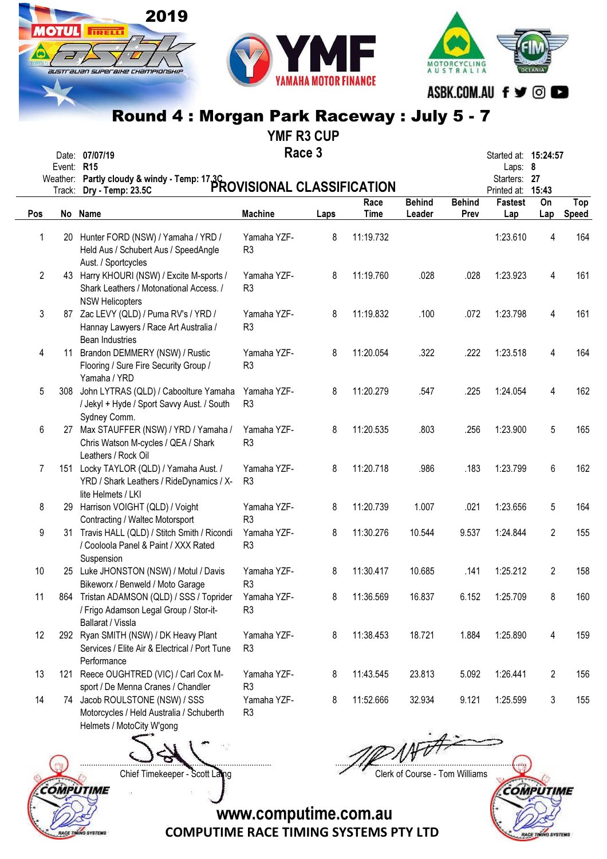

2019

**TRELL** 

australian superaixe championskil



### Round 4 : Morgan Park Raceway : July 5 - 7

|                |                              | ₩                                                                                                              |                               | <b>YMF R3 CUP</b> |              |                         |                       |                                                                |           |              |
|----------------|------------------------------|----------------------------------------------------------------------------------------------------------------|-------------------------------|-------------------|--------------|-------------------------|-----------------------|----------------------------------------------------------------|-----------|--------------|
|                | Event:<br>Weather:<br>Track: | Date: 07/07/19<br><b>R15</b><br>Partly cloudy & windy - Temp: 173C<br>PROVISIONAL CLASSIFICATION               |                               | Race 3            |              |                         |                       | Started at: 15:24:57<br>Laps: 8<br>Starters: 27<br>Printed at: | 15:43     |              |
| Pos            |                              | No Name                                                                                                        | <b>Machine</b>                | Laps              | Race<br>Time | <b>Behind</b><br>Leader | <b>Behind</b><br>Prev | <b>Fastest</b><br>Lap                                          | On<br>Lap | Top<br>Speed |
| 1              | 20                           | Hunter FORD (NSW) / Yamaha / YRD /<br>Held Aus / Schubert Aus / SpeedAngle<br>Aust. / Sportcycles              | Yamaha YZF-<br>R <sub>3</sub> | 8                 | 11:19.732    |                         |                       | 1:23.610                                                       | 4         | 164          |
| $\overline{2}$ |                              | 43 Harry KHOURI (NSW) / Excite M-sports /<br>Shark Leathers / Motonational Access. /<br><b>NSW Helicopters</b> | Yamaha YZF-<br>R <sub>3</sub> | 8                 | 11:19.760    | .028                    | .028                  | 1:23.923                                                       | 4         | 161          |
| 3              |                              | 87 Zac LEVY (QLD) / Puma RV's / YRD /<br>Hannay Lawyers / Race Art Australia /<br><b>Bean Industries</b>       | Yamaha YZF-<br>R <sub>3</sub> | 8                 | 11:19.832    | .100                    | .072                  | 1:23.798                                                       | 4         | 161          |
| 4              | 11                           | Brandon DEMMERY (NSW) / Rustic<br>Flooring / Sure Fire Security Group /<br>Yamaha / YRD                        | Yamaha YZF-<br>R <sub>3</sub> | 8                 | 11:20.054    | .322                    | .222                  | 1:23.518                                                       | 4         | 164          |
| 5              | 308                          | John LYTRAS (QLD) / Caboolture Yamaha<br>/ Jekyl + Hyde / Sport Savvy Aust. / South<br>Sydney Comm.            | Yamaha YZF-<br>R <sub>3</sub> | 8                 | 11:20.279    | .547                    | .225                  | 1:24.054                                                       | 4         | 162          |
| 6              | 27                           | Max STAUFFER (NSW) / YRD / Yamaha /<br>Chris Watson M-cycles / QEA / Shark<br>Leathers / Rock Oil              | Yamaha YZF-<br>R <sub>3</sub> | 8                 | 11:20.535    | .803                    | .256                  | 1:23.900                                                       | 5         | 165          |
| 7              | 151                          | Locky TAYLOR (QLD) / Yamaha Aust. /<br>YRD / Shark Leathers / RideDynamics / X-<br>lite Helmets / LKI          | Yamaha YZF-<br>R <sub>3</sub> | 8                 | 11:20.718    | .986                    | .183                  | 1:23.799                                                       | 6         | 162          |
| 8              | 29                           | Harrison VOIGHT (QLD) / Voight<br>Contracting / Waltec Motorsport                                              | Yamaha YZF-<br>R <sub>3</sub> | 8                 | 11:20.739    | 1.007                   | .021                  | 1:23.656                                                       | 5         | 164          |

Yamaha YZF-

Yamaha YZF-

Yamaha YZF-

Yamaha YZF-

Yamaha YZF-

Yamaha YZF-

R3

R3

R3

R3

R3

Motorcycles / Held Australia / Schuberth Helmets / MotoCity W'gong R3

Services / Elite Air & Electrical / Port Tune

sport / De Menna Cranes / Chandler

9 31 Travis HALL (QLD) / Stitch Smith / Ricondi / Cooloola Panel & Paint / XXX Rated

10 25 Luke JHONSTON (NSW) / Motul / Davis Bikeworx / Benweld / Moto Garage

11 864 Tristan ADAMSON (QLD) / SSS / Toprider / Frigo Adamson Legal Group / Stor-it-

12 292 Ryan SMITH (NSW) / DK Heavy Plant

13 121 Reece OUGHTRED (VIC) / Carl Cox M-

14 74 Jacob ROULSTONE (NSW) / SSS

Suspension

Ballarat / Vissla

**Performance** 

....................................................................................... .......................................................................................

8 11:30.276 10.544 9.537 1:24.844 2 155

8 11:30.417 10.685 .141 1:25.212 2 158

8 11:36.569 16.837 6.152 1:25.709 8 160

8 11:38.453 18.721 1.884 1:25.890 4 159

8 11:43.545 23.813 5.092 1:26.441 2 156

8 11:52.666 32.934 9.121 1:25.599 3 155



Chief Timekeeper - Scott Laing Chief Timekeeper - Scott Laing

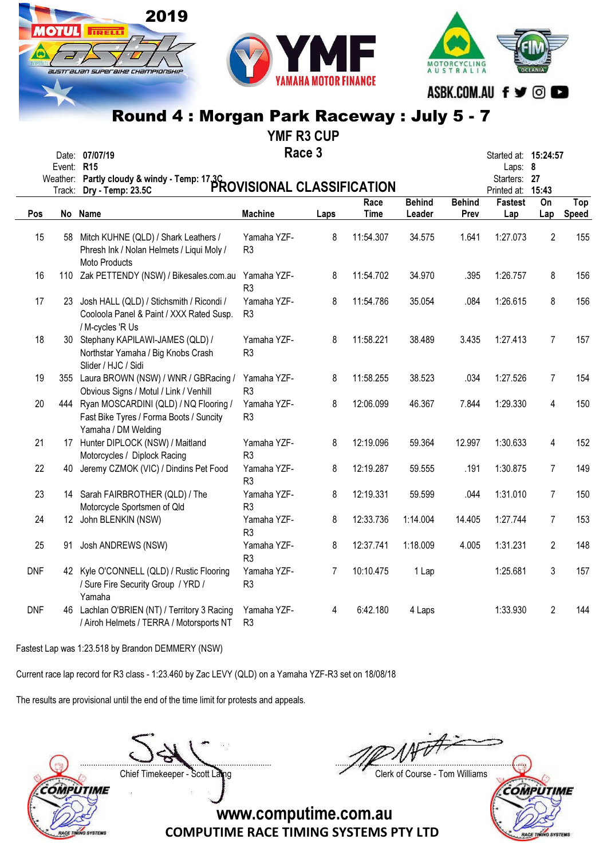



YMF R3 CUP

|            |            |                                                                                                             |                               | <b>YIVIF RJ CUP</b> |                     |                         |                       |                                   |                |                     |
|------------|------------|-------------------------------------------------------------------------------------------------------------|-------------------------------|---------------------|---------------------|-------------------------|-----------------------|-----------------------------------|----------------|---------------------|
|            | Event: R15 | Date: 07/07/19                                                                                              | Race 3                        |                     |                     |                         |                       | Started at: 15:24:57<br>Laps: 8   |                |                     |
|            |            | Weather: Partly cloudy & windy - Temp: 17.3C<br>Testing Day Temp: 23.5C                                     |                               |                     |                     |                         |                       | Starters: 27<br>Printed at: 15:43 |                |                     |
| Pos        |            | No Name                                                                                                     | <b>Machine</b>                | Laps                | Race<br><b>Time</b> | <b>Behind</b><br>Leader | <b>Behind</b><br>Prev | Fastest<br>Lap                    | On<br>Lap      | Top<br><b>Speed</b> |
| 15         | 58         | Mitch KUHNE (QLD) / Shark Leathers /<br>Phresh Ink / Nolan Helmets / Liqui Moly /<br>Moto Products          | Yamaha YZF-<br>R <sub>3</sub> | 8                   | 11:54.307           | 34.575                  | 1.641                 | 1:27.073                          | $\overline{2}$ | 155                 |
| 16         |            | 110 Zak PETTENDY (NSW) / Bikesales.com.au                                                                   | Yamaha YZF-<br>R <sub>3</sub> | 8                   | 11:54.702           | 34.970                  | .395                  | 1:26.757                          | 8              | 156                 |
| 17         |            | 23 Josh HALL (QLD) / Stichsmith / Ricondi /<br>Cooloola Panel & Paint / XXX Rated Susp.<br>/ M-cycles 'R Us | Yamaha YZF-<br>R <sub>3</sub> | 8                   | 11:54.786           | 35.054                  | .084                  | 1:26.615                          | 8              | 156                 |
| 18         |            | 30 Stephany KAPILAWI-JAMES (QLD) /<br>Northstar Yamaha / Big Knobs Crash<br>Slider / HJC / Sidi             | Yamaha YZF-<br>R <sub>3</sub> | 8                   | 11:58.221           | 38.489                  | 3.435                 | 1:27.413                          | $\overline{7}$ | 157                 |
| 19         |            | 355 Laura BROWN (NSW) / WNR / GBRacing /<br>Obvious Signs / Motul / Link / Venhill                          | Yamaha YZF-<br>R <sub>3</sub> | 8                   | 11:58.255           | 38.523                  | .034                  | 1:27.526                          | $\overline{7}$ | 154                 |
| 20         |            | 444 Ryan MOSCARDINI (QLD) / NQ Flooring /<br>Fast Bike Tyres / Forma Boots / Suncity<br>Yamaha / DM Welding | Yamaha YZF-<br>R <sub>3</sub> | 8                   | 12:06.099           | 46.367                  | 7.844                 | 1:29.330                          | 4              | 150                 |
| 21         |            | 17 Hunter DIPLOCK (NSW) / Maitland<br>Motorcycles / Diplock Racing                                          | Yamaha YZF-<br>R <sub>3</sub> | 8                   | 12:19.096           | 59.364                  | 12.997                | 1:30.633                          | 4              | 152                 |
| 22         |            | 40 Jeremy CZMOK (VIC) / Dindins Pet Food                                                                    | Yamaha YZF-<br>R <sub>3</sub> | 8                   | 12:19.287           | 59.555                  | .191                  | 1:30.875                          | $\overline{7}$ | 149                 |
| 23         |            | 14 Sarah FAIRBROTHER (QLD) / The<br>Motorcycle Sportsmen of Qld                                             | Yamaha YZF-<br>R <sub>3</sub> | 8                   | 12:19.331           | 59.599                  | .044                  | 1:31.010                          | 7              | 150                 |
| 24         |            | 12 John BLENKIN (NSW)                                                                                       | Yamaha YZF-<br>R <sub>3</sub> | 8                   | 12:33.736           | 1:14.004                | 14.405                | 1:27.744                          | 7              | 153                 |
| 25         | 91         | Josh ANDREWS (NSW)                                                                                          | Yamaha YZF-<br>R <sub>3</sub> | 8                   | 12:37.741           | 1:18.009                | 4.005                 | 1:31.231                          | $\overline{2}$ | 148                 |
| <b>DNF</b> |            | 42 Kyle O'CONNELL (QLD) / Rustic Flooring<br>/ Sure Fire Security Group / YRD /<br>Yamaha                   | Yamaha YZF-<br>R <sub>3</sub> | 7                   | 10:10.475           | 1 Lap                   |                       | 1:25.681                          | 3              | 157                 |
| <b>DNF</b> |            | 46 Lachlan O'BRIEN (NT) / Territory 3 Racing                                                                | Yamaha YZF-                   | 4                   | 6:42.180            | 4 Laps                  |                       | 1:33.930                          | 2              | 144                 |

COMPUTIME RACE TIMING SYSTEMS PTY LTD www.computime.com.au

Fastest Lap was 1:23.518 by Brandon DEMMERY (NSW)

Current race lap record for R3 class - 1:23.460 by Zac LEVY (QLD) on a Yamaha YZF-R3 set on 18/08/18

The results are provisional until the end of the time limit for protests and appeals.

/ Airoh Helmets / TERRA / Motorsports NT R3

2019

**TRELL** 

IUSTI aLIAN SUPER BIHE CHAMPIONSHI.

....................................................................................... .......................................................................................



Chief Timekeeper - Scott Laing Chief Timekeeper - Scott Laing

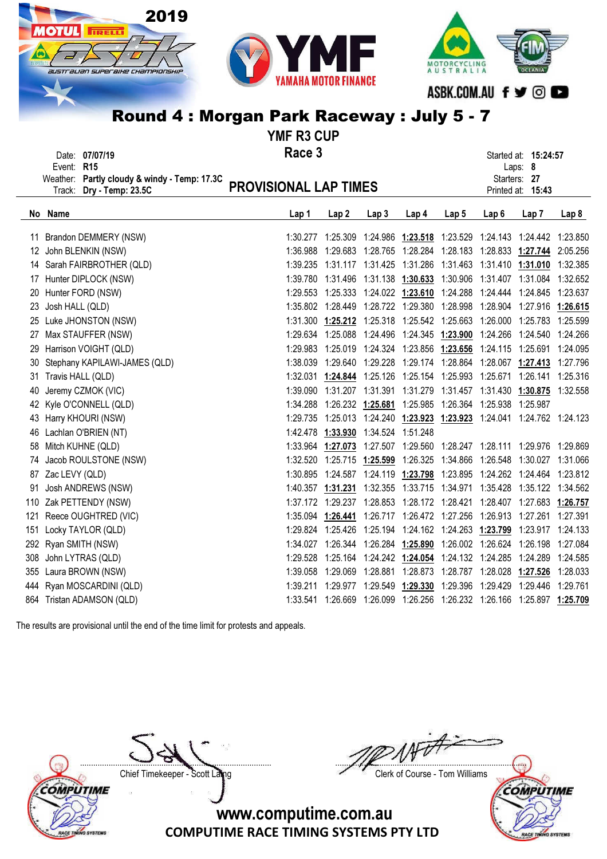

YMF R3 CUP

|              | Date: 07/07/19                               | Race 3                       | Started at: 15:24:57 |  |
|--------------|----------------------------------------------|------------------------------|----------------------|--|
| Event: $R15$ |                                              |                              | Laps: $8$            |  |
|              | Weather: Partly cloudy & windy - Temp: 17.3C |                              | Starters: 27         |  |
|              | Track: Dry - Temp: 23.5C                     | <b>PROVISIONAL LAP TIMES</b> | Printed at: 15:43    |  |
|              |                                              |                              |                      |  |

| No  | Name                          | Lap 1    | Lap <sub>2</sub>                                               | Lap <sub>3</sub> | Lap <sub>4</sub> | Lap <sub>5</sub> | Lap <sub>6</sub>                                           | Lap <sub>7</sub>                                                        | Lap <sub>8</sub> |
|-----|-------------------------------|----------|----------------------------------------------------------------|------------------|------------------|------------------|------------------------------------------------------------|-------------------------------------------------------------------------|------------------|
| 11  | Brandon DEMMERY (NSW)         | 1:30.277 |                                                                |                  |                  |                  |                                                            | 1:25.309  1:24.986  1:23.518  1:23.529  1:24.143  1:24.442  1:23.850    |                  |
| 12  | John BLENKIN (NSW)            | 1:36.988 |                                                                |                  |                  |                  |                                                            | 1:29.683 1:28.765 1:28.284 1:28.183 1:28.833 1:27.744 2:05.256          |                  |
| 14  | Sarah FAIRBROTHER (QLD)       | 1:39.235 |                                                                |                  |                  |                  | 1:31.117  1:31.425  1:31.286  1:31.463  1:31.410  1:31.010 |                                                                         | 1:32.385         |
| 17  | Hunter DIPLOCK (NSW)          |          | 1:39.780 1:31.496 1:31.138 1:30.633 1:30.906 1:31.407 1:31.084 |                  |                  |                  |                                                            |                                                                         | 1:32.652         |
| 20  | Hunter FORD (NSW)             |          |                                                                |                  |                  |                  |                                                            | 1:29.553 1:25.333 1:24.022 1:23.610 1:24.288 1:24.444 1:24.845 1:23.637 |                  |
| 23  | Josh HALL (QLD)               |          |                                                                |                  |                  |                  |                                                            | 1:35.802 1:28.449 1:28.722 1:29.380 1:28.998 1:28.904 1:27.916 1:26.615 |                  |
| 25  | Luke JHONSTON (NSW)           |          | 1:31.300  1:25.212  1:25.318  1:25.542  1:25.663  1:26.000     |                  |                  |                  |                                                            | 1:25.783                                                                | 1:25.599         |
| 27  | Max STAUFFER (NSW)            |          | 1:29.634 1:25.088 1:24.496 1:24.345 1:23.900 1:24.266 1:24.540 |                  |                  |                  |                                                            |                                                                         | 1:24.266         |
| 29  | Harrison VOIGHT (QLD)         | 1:29.983 | 1:25.019  1:24.324  1:23.856  1:23.656  1:24.115  1:25.691     |                  |                  |                  |                                                            |                                                                         | 1:24.095         |
|     | Stephany KAPILAWI-JAMES (QLD) | 1:38.039 |                                                                |                  |                  |                  | 1:29.640 1:29.228 1:29.174 1:28.864 1:28.067 1:27.413      |                                                                         | 1:27.796         |
| 31  | Travis HALL (QLD)             |          |                                                                |                  |                  |                  |                                                            | 1:32.031 1:24.844 1:25.126 1:25.154 1:25.993 1:25.671 1:26.141 1:25.316 |                  |
| 40  | Jeremy CZMOK (VIC)            | 1:39.090 | 1:31.207 1:31.391                                              |                  |                  |                  |                                                            | 1:31.279 1:31.457 1:31.430 1:30.875 1:32.558                            |                  |
| 42  | Kyle O'CONNELL (QLD)          | 1:34.288 | 1:26.232 1:25.681                                              |                  |                  |                  | 1:25.985 1:26.364 1:25.938 1:25.987                        |                                                                         |                  |
|     | 43 Harry KHOURI (NSW)         |          |                                                                |                  |                  |                  |                                                            | 1:29.735 1:25.013 1:24.240 1:23.923 1:23.923 1:24.041 1:24.762 1:24.123 |                  |
| 46  | Lachlan O'BRIEN (NT)          |          | 1:42.478 1:33.930 1:34.524 1:51.248                            |                  |                  |                  |                                                            |                                                                         |                  |
| 58  | Mitch KUHNE (QLD)             |          | 1:33.964 1:27.073                                              | 1:27.507         |                  |                  |                                                            | 1:29.560  1:28.247  1:28.111  1:29.976  1:29.869                        |                  |
| 74  | Jacob ROULSTONE (NSW)         | 1:32.520 | 1:25.715 1:25.599                                              |                  |                  |                  |                                                            | 1:26.325 1:34.866 1:26.548 1:30.027 1:31.066                            |                  |
| 87  | Zac LEVY (QLD)                | 1:30.895 | 1:24.587                                                       |                  |                  |                  |                                                            | 1:24.119  1:23.798  1:23.895  1:24.262  1:24.464  1:23.812              |                  |
| 91  | Josh ANDREWS (NSW)            |          | 1:40.357 1:31.231                                              |                  |                  |                  |                                                            | 1:32.355  1:33.715  1:34.971  1:35.428  1:35.122  1:34.562              |                  |
|     | 110 Zak PETTENDY (NSW)        |          | 1:37.172 1:29.237                                              | 1:28.853         |                  |                  |                                                            | 1:28.172 1:28.421 1:28.407 1:27.683 1:26.757                            |                  |
| 121 | Reece OUGHTRED (VIC)          |          | 1:35.094 1:26.441                                              |                  |                  |                  |                                                            | 1:26.717  1:26.472  1:27.256  1:26.913  1:27.261  1:27.391              |                  |
| 151 | Locky TAYLOR (QLD)            |          | 1:29.824 1:25.426                                              | 1:25.194         |                  |                  |                                                            | 1:24.162 1:24.263 1:23.799 1:23.917 1:24.133                            |                  |
|     | 292 Ryan SMITH (NSW)          | 1:34.027 | 1:26.344                                                       | 1:26.284         |                  |                  |                                                            | 1:25.890 1:26.002 1:26.624 1:26.198 1:27.084                            |                  |
|     | 308 John LYTRAS (QLD)         | 1:29.528 | 1:25.164                                                       |                  |                  |                  |                                                            | 1:24.242 1:24.054 1:24.132 1:24.285 1:24.289 1:24.585                   |                  |
|     | 355 Laura BROWN (NSW)         | 1:39.058 | 1:29.069                                                       | 1:28.881         |                  |                  |                                                            | 1:28.873 1:28.787 1:28.028 1:27.526 1:28.033                            |                  |
|     | 444 Ryan MOSCARDINI (QLD)     |          | 1:39.211 1:29.977                                              | 1:29.549         |                  |                  |                                                            | 1:29.330 1:29.396 1:29.429 1:29.446 1:29.761                            |                  |
|     | 864 Tristan ADAMSON (QLD)     |          | 1:33.541 1:26.669                                              | 1:26.099         |                  |                  |                                                            | 1:26.256 1:26.232 1:26.166 1:25.897 1:25.709                            |                  |
|     |                               |          |                                                                |                  |                  |                  |                                                            |                                                                         |                  |

The results are provisional until the end of the time limit for protests and appeals.

**COMPUTIME** ACE TIN **VO SYSTEM** 

....................................................................................... ....................................................................................... Chief Timekeeper - Scott Laing Chief Timekeeper - Scott Laing



www.computime.com.au

COMPUTIME RACE TIMING SYSTEMS PTY LTD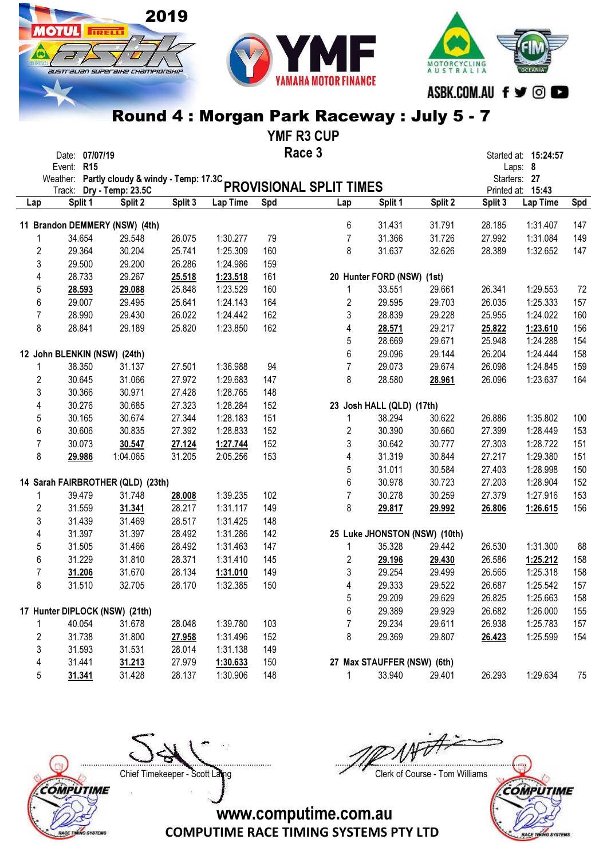# australian superaike championskir

2019

**MOTUL** FRELL

MOTORCYCLING<br>AUSTRALIA ASBK.COM.AU f y ©

### Round 4 : Morgan Park Raceway : July 5 - 7

YMF R3 CUP

|     | Date: 07/07/19                    |          |         |          |     | Race 3                                                                  |                             |                               |         | Started at: 15:24:57              |     |
|-----|-----------------------------------|----------|---------|----------|-----|-------------------------------------------------------------------------|-----------------------------|-------------------------------|---------|-----------------------------------|-----|
|     | <b>R15</b><br>Event:              |          |         |          |     |                                                                         |                             |                               |         | Laps: 8                           |     |
|     |                                   |          |         |          |     | Weather: Partly cloudy & windy - Temp: 17.3C<br>PROVISIONAL SPLIT TIMES |                             |                               |         | Starters: 27<br>Printed at: 15:43 |     |
| Lap | Split 1                           | Split 2  | Split 3 | Lap Time | Spd | Lap                                                                     | Split 1                     | Split 2                       | Split 3 | Lap Time                          | Spd |
|     | 11 Brandon DEMMERY (NSW) (4th)    |          |         |          |     | 6                                                                       | 31.431                      | 31.791                        | 28.185  | 1:31.407                          | 147 |
|     | 34.654                            | 29.548   | 26.075  | 1:30.277 | 79  | $\overline{7}$                                                          | 31.366                      | 31.726                        | 27.992  | 1:31.084                          | 149 |
|     | $\overline{2}$<br>29.364          | 30.204   | 25.741  | 1:25.309 | 160 | 8                                                                       | 31.637                      | 32.626                        | 28.389  | 1:32.652                          | 147 |
|     | 3<br>29.500                       | 29.200   | 26.286  | 1:24.986 | 159 |                                                                         |                             |                               |         |                                   |     |
|     | 28.733<br>4                       | 29.267   | 25.518  | 1:23.518 | 161 |                                                                         | 20 Hunter FORD (NSW) (1st)  |                               |         |                                   |     |
|     | 5<br>28.593                       | 29.088   | 25.848  | 1:23.529 | 160 | 1                                                                       | 33.551                      | 29.661                        | 26.341  | 1:29.553                          | 72  |
|     | 29.007<br>6                       | 29.495   | 25.641  | 1:24.143 | 164 | 2                                                                       | 29.595                      | 29.703                        | 26.035  | 1:25.333                          | 157 |
|     | $\overline{7}$<br>28.990          | 29.430   | 26.022  | 1:24.442 | 162 | 3                                                                       | 28.839                      | 29.228                        | 25.955  | 1:24.022                          | 160 |
|     | 8<br>28.841                       | 29.189   | 25.820  | 1:23.850 | 162 | 4                                                                       | 28.571                      | 29.217                        | 25.822  | 1:23.610                          | 156 |
|     |                                   |          |         |          |     | 5                                                                       | 28.669                      | 29.671                        | 25.948  | 1:24.288                          | 154 |
|     | 12 John BLENKIN (NSW) (24th)      |          |         |          |     | 6                                                                       | 29.096                      | 29.144                        | 26.204  | 1:24.444                          | 158 |
|     | 38.350<br>1                       | 31.137   | 27.501  | 1:36.988 | 94  | $\overline{7}$                                                          | 29.073                      | 29.674                        | 26.098  | 1:24.845                          | 159 |
|     | $\overline{2}$<br>30.645          | 31.066   | 27.972  | 1:29.683 | 147 | 8                                                                       | 28.580                      | 28.961                        | 26.096  | 1:23.637                          | 164 |
|     | 3<br>30.366                       | 30.971   | 27.428  | 1:28.765 | 148 |                                                                         |                             |                               |         |                                   |     |
|     | 30.276<br>4                       | 30.685   | 27.323  | 1:28.284 | 152 |                                                                         | 23 Josh HALL (QLD) (17th)   |                               |         |                                   |     |
|     | 30.165<br>5                       | 30.674   | 27.344  | 1:28.183 | 151 | 1                                                                       | 38.294                      | 30.622                        | 26.886  | 1:35.802                          | 100 |
|     | 30.606<br>6                       | 30.835   | 27.392  | 1:28.833 | 152 | 2                                                                       | 30.390                      | 30.660                        | 27.399  | 1:28.449                          | 153 |
|     | $\overline{7}$<br>30.073          | 30.547   | 27.124  | 1:27.744 | 152 | 3                                                                       | 30.642                      | 30.777                        | 27.303  | 1:28.722                          | 151 |
|     | 8<br>29.986                       | 1:04.065 | 31.205  | 2:05.256 | 153 | 4                                                                       | 31.319                      | 30.844                        | 27.217  | 1:29.380                          | 151 |
|     |                                   |          |         |          |     | 5                                                                       | 31.011                      | 30.584                        | 27.403  | 1:28.998                          | 150 |
|     | 14 Sarah FAIRBROTHER (QLD) (23th) |          |         |          |     | 6                                                                       | 30.978                      | 30.723                        | 27.203  | 1:28.904                          | 152 |
|     | 39.479<br>1                       | 31.748   | 28.008  | 1:39.235 | 102 | $\overline{7}$                                                          | 30.278                      | 30.259                        | 27.379  | 1:27.916                          | 153 |
|     | $\overline{2}$<br>31.559          | 31.341   | 28.217  | 1:31.117 | 149 | 8                                                                       | 29.817                      | 29.992                        | 26.806  | 1:26.615                          | 156 |
|     | 3<br>31.439                       | 31.469   | 28.517  | 1:31.425 | 148 |                                                                         |                             |                               |         |                                   |     |
|     | 31.397<br>4                       | 31.397   | 28.492  | 1:31.286 | 142 |                                                                         |                             | 25 Luke JHONSTON (NSW) (10th) |         |                                   |     |
|     | 5<br>31.505                       | 31.466   | 28.492  | 1:31.463 | 147 | 1                                                                       | 35.328                      | 29.442                        | 26.530  | 1:31.300                          | 88  |
|     | 31.229<br>6                       | 31.810   | 28.371  | 1:31.410 | 145 | 2                                                                       | 29.196                      | 29.430                        | 26.586  | 1:25.212                          | 158 |
|     | 7<br>31.206                       | 31.670   | 28.134  | 1:31.010 | 149 | 3                                                                       | 29.254                      | 29.499                        | 26.565  | 1:25.318                          | 158 |
|     | 8<br>31.510                       | 32.705   | 28.170  | 1:32.385 | 150 | 4                                                                       | 29.333                      | 29.522                        | 26.687  | 1:25.542                          | 157 |
|     |                                   |          |         |          |     | 5                                                                       | 29.209                      | 29.629                        | 26.825  | 1:25.663                          | 158 |
|     | 17 Hunter DIPLOCK (NSW) (21th)    |          |         |          |     | 6                                                                       | 29.389                      | 29.929                        | 26.682  | 1:26.000                          | 155 |
|     | 40.054                            | 31.678   | 28.048  | 1:39.780 | 103 | 7                                                                       | 29.234                      | 29.611                        | 26.938  | 1:25.783                          | 157 |
|     | $\sqrt{2}$<br>31.738              | 31.800   | 27.958  | 1:31.496 | 152 | 8                                                                       | 29.369                      | 29.807                        | 26.423  | 1:25.599                          | 154 |
|     | 3<br>31.593                       | 31.531   | 28.014  | 1:31.138 | 149 |                                                                         |                             |                               |         |                                   |     |
|     | 4<br>31.441                       | 31.213   | 27.979  | 1:30.633 | 150 |                                                                         | 27 Max STAUFFER (NSW) (6th) |                               |         |                                   |     |
|     | 5<br>31.341                       | 31.428   | 28.137  | 1:30.906 | 148 | $\mathbf{1}$                                                            | 33.940                      | 29.401                        | 26.293  | 1:29.634                          | 75  |

COMPUTIME RACE TINING SYSTEMS

....................................................................................... .......................................................................................

Chief Timekeeper - Scott Laing Chief Timekeeper - Scott Laing

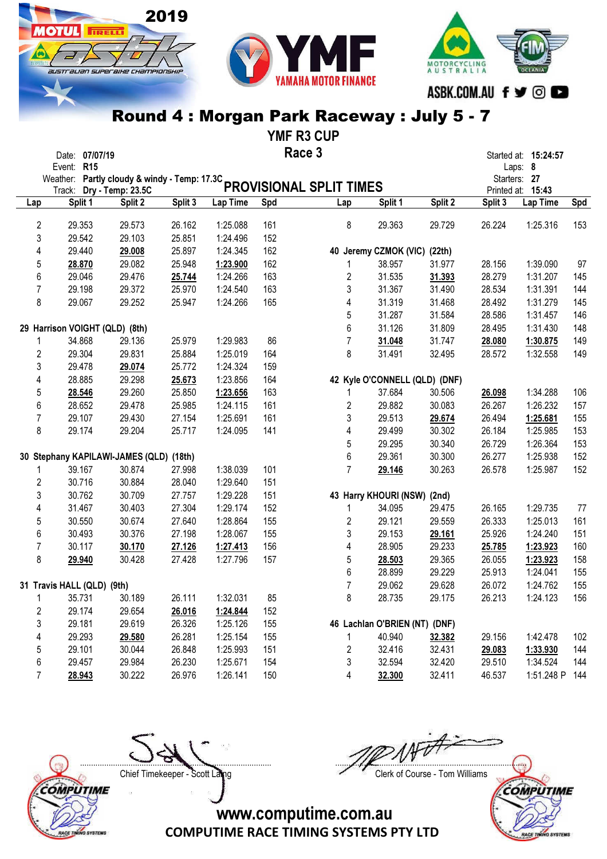2019

**OTUL** 

**TRELL** 

australian superaike championskir

YMF R3 CUP

|                | Date: 07/07/19<br>Event: R15            |         |         |          |     | Race 3                                                                  |                               |         |         | Started at: 15:24:57<br>Laps: 8   |     |
|----------------|-----------------------------------------|---------|---------|----------|-----|-------------------------------------------------------------------------|-------------------------------|---------|---------|-----------------------------------|-----|
|                |                                         |         |         |          |     | Weather: Partly cloudy & windy - Temp: 17.3C<br>PROVISIONAL SPLIT TIMES |                               |         |         | Starters: 27<br>Printed at: 15:43 |     |
| Lap            | Split 1                                 | Split 2 | Split 3 | Lap Time | Spd | Lap                                                                     | Split 1                       | Split 2 | Split 3 | Lap Time                          | Spd |
| 2              | 29.353                                  | 29.573  | 26.162  | 1:25.088 | 161 | 8                                                                       | 29.363                        | 29.729  | 26.224  | 1:25.316                          | 153 |
| 3              | 29.542                                  | 29.103  | 25.851  | 1:24.496 | 152 |                                                                         |                               |         |         |                                   |     |
| 4              | 29.440                                  | 29.008  | 25.897  | 1:24.345 | 162 |                                                                         | 40 Jeremy CZMOK (VIC) (22th)  |         |         |                                   |     |
| 5              | 28.870                                  | 29.082  | 25.948  | 1:23.900 | 162 | 1                                                                       | 38.957                        | 31.977  | 28.156  | 1:39.090                          | 97  |
| 6              | 29.046                                  | 29.476  | 25.744  | 1:24.266 | 163 | 2                                                                       | 31.535                        | 31.393  | 28.279  | 1:31.207                          | 145 |
| $\overline{7}$ | 29.198                                  | 29.372  | 25.970  | 1:24.540 | 163 | 3                                                                       | 31.367                        | 31.490  | 28.534  | 1:31.391                          | 144 |
| 8              | 29.067                                  | 29.252  | 25.947  | 1:24.266 | 165 | 4                                                                       | 31.319                        | 31.468  | 28.492  | 1:31.279                          | 145 |
|                |                                         |         |         |          |     | 5                                                                       | 31.287                        | 31.584  | 28.586  | 1:31.457                          | 146 |
|                | 29 Harrison VOIGHT (QLD) (8th)          |         |         |          |     | 6                                                                       | 31.126                        | 31.809  | 28.495  | 1:31.430                          | 148 |
| 1              | 34.868                                  | 29.136  | 25.979  | 1:29.983 | 86  | $\overline{7}$                                                          | 31.048                        | 31.747  | 28.080  | 1:30.875                          | 149 |
| 2              | 29.304                                  | 29.831  | 25.884  | 1:25.019 | 164 | 8                                                                       | 31.491                        | 32.495  | 28.572  | 1:32.558                          | 149 |
| 3              | 29.478                                  | 29.074  | 25.772  | 1:24.324 | 159 |                                                                         |                               |         |         |                                   |     |
| 4              | 28.885                                  | 29.298  | 25.673  | 1:23.856 | 164 |                                                                         | 42 Kyle O'CONNELL (QLD) (DNF) |         |         |                                   |     |
| 5              | 28.546                                  | 29.260  | 25.850  | 1:23.656 | 163 | 1                                                                       | 37.684                        | 30.506  | 26.098  | 1:34.288                          | 106 |
| 6              | 28.652                                  | 29.478  | 25.985  | 1:24.115 | 161 | 2                                                                       | 29.882                        | 30.083  | 26.267  | 1:26.232                          | 157 |
| $\overline{7}$ | 29.107                                  | 29.430  | 27.154  | 1:25.691 | 161 | 3                                                                       | 29.513                        | 29.674  | 26.494  | 1:25.681                          | 155 |
| 8              | 29.174                                  | 29.204  | 25.717  | 1:24.095 | 141 | 4                                                                       | 29.499                        | 30.302  | 26.184  | 1:25.985                          | 153 |
|                |                                         |         |         |          |     | 5                                                                       | 29.295                        | 30.340  | 26.729  | 1:26.364                          | 153 |
|                | 30 Stephany KAPILAWI-JAMES (QLD) (18th) |         |         |          |     | 6                                                                       | 29.361                        | 30.300  | 26.277  | 1:25.938                          | 152 |
| 1              | 39.167                                  | 30.874  | 27.998  | 1:38.039 | 101 | $\overline{7}$                                                          |                               | 30.263  | 26.578  | 1:25.987                          | 152 |
|                | 30.716                                  | 30.884  | 28.040  | 1:29.640 |     |                                                                         | 29.146                        |         |         |                                   |     |
| 2<br>3         | 30.762                                  | 30.709  |         |          | 151 |                                                                         |                               |         |         |                                   |     |
|                |                                         |         | 27.757  | 1:29.228 | 151 |                                                                         | 43 Harry KHOURI (NSW) (2nd)   |         |         |                                   |     |
| 4              | 31.467                                  | 30.403  | 27.304  | 1:29.174 | 152 | 1                                                                       | 34.095                        | 29.475  | 26.165  | 1:29.735                          | 77  |
| 5              | 30.550                                  | 30.674  | 27.640  | 1:28.864 | 155 | 2                                                                       | 29.121                        | 29.559  | 26.333  | 1:25.013                          | 161 |
| 6              | 30.493                                  | 30.376  | 27.198  | 1:28.067 | 155 | 3                                                                       | 29.153                        | 29.161  | 25.926  | 1:24.240                          | 151 |
| $\overline{7}$ | 30.117                                  | 30.170  | 27.126  | 1:27.413 | 156 | 4                                                                       | 28.905                        | 29.233  | 25.785  | 1:23.923                          | 160 |
| 8              | 29.940                                  | 30.428  | 27.428  | 1:27.796 | 157 | 5                                                                       | 28.503                        | 29.365  | 26.055  | 1:23.923                          | 158 |
|                |                                         |         |         |          |     | 6                                                                       | 28.899                        | 29.229  | 25.913  | 1:24.041                          | 155 |
|                | 31 Travis HALL (QLD) (9th)              |         |         |          |     | $\overline{7}$                                                          | 29.062                        | 29.628  | 26.072  | 1:24.762                          | 155 |
| $\mathbf{1}$   | 35.731                                  | 30.189  | 26.111  | 1:32.031 | 85  | 8                                                                       | 28.735                        | 29.175  | 26.213  | 1:24.123                          | 156 |
| 2              | 29.174                                  | 29.654  | 26.016  | 1:24.844 | 152 |                                                                         |                               |         |         |                                   |     |
| 3              | 29.181                                  | 29.619  | 26.326  | 1:25.126 | 155 |                                                                         | 46 Lachlan O'BRIEN (NT) (DNF) |         |         |                                   |     |
| 4              | 29.293                                  | 29.580  | 26.281  | 1:25.154 | 155 | 1                                                                       | 40.940                        | 32.382  | 29.156  | 1:42.478                          | 102 |
| 5              | 29.101                                  | 30.044  | 26.848  | 1:25.993 | 151 | 2                                                                       | 32.416                        | 32.431  | 29.083  | 1:33.930                          | 144 |
| 6              | 29.457                                  | 29.984  | 26.230  | 1:25.671 | 154 | 3                                                                       | 32.594                        | 32.420  | 29.510  | 1:34.524                          | 144 |
| 7              | 28.943                                  | 30.222  | 26.976  | 1:26.141 | 150 | 4                                                                       | 32.300                        | 32.411  | 46.537  | 1:51.248 P                        | 144 |





....................................................................................... ....................................................................................... Chief Timekeeper - Scott Laing Chief Timekeeper - Scott Laing

MOTORCYCLING<br>A U S T R A L I A

ASBK.COM.AU f ♥ © ■



COMPUTIME RACE TIMING SYSTEMS PTY LTD

www.computime.com.au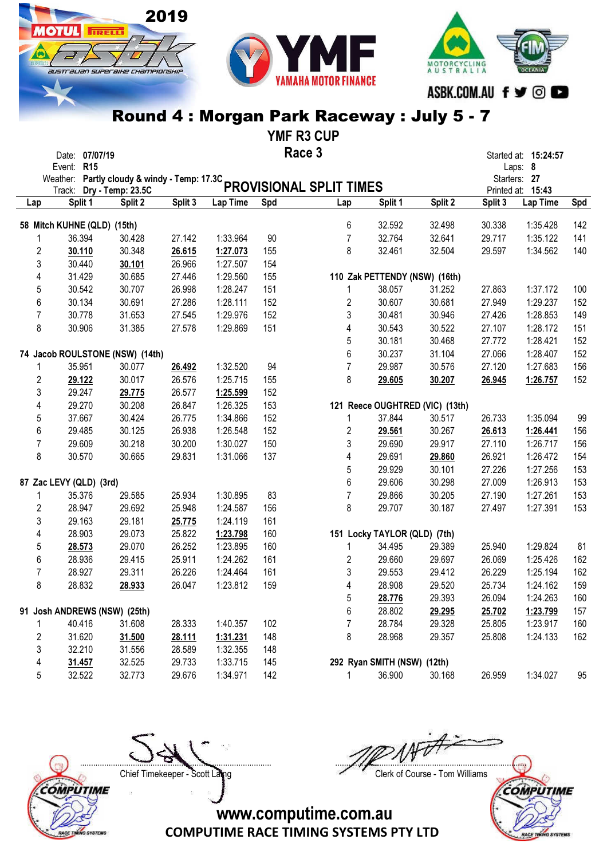

2019

**MOTUL** FIRELLY

australian superaike championskir



### Round 4 : Morgan Park Raceway : July 5 - 7

YMF R3 CUP

|     | Date: 07/07/19              |                                                                         |         |          | Race 3 |                |                               |                                 |         | Started at: 15:24:57 |     |
|-----|-----------------------------|-------------------------------------------------------------------------|---------|----------|--------|----------------|-------------------------------|---------------------------------|---------|----------------------|-----|
|     | Event: R15                  |                                                                         |         |          |        |                |                               |                                 |         | Laps: 8              |     |
|     |                             | Weather: Partly cloudy & windy - Temp: 17.3C<br>PROVISIONAL SPLIT TIMES |         |          |        |                |                               |                                 |         | Starters: 27         |     |
|     |                             |                                                                         |         |          |        |                |                               |                                 |         | Printed at: 15:43    |     |
| Lap | Split 1                     | Split 2                                                                 | Split 3 | Lap Time | Spd    | Lap            | Split 1                       | Split 2                         | Split 3 | Lap Time             | Spd |
|     | 58 Mitch KUHNE (QLD) (15th) |                                                                         |         |          |        | 6              | 32.592                        | 32.498                          | 30.338  | 1:35.428             | 142 |
|     | 36.394                      | 30.428                                                                  | 27.142  | 1:33.964 | 90     | $\overline{7}$ | 32.764                        | 32.641                          | 29.717  | 1:35.122             | 141 |
|     | 2<br>30.110                 | 30.348                                                                  | 26.615  | 1:27.073 | 155    | 8              | 32.461                        | 32.504                          | 29.597  | 1:34.562             | 140 |
|     | 3<br>30.440                 | 30.101                                                                  | 26.966  | 1:27.507 | 154    |                |                               |                                 |         |                      |     |
|     | 31.429<br>4                 | 30.685                                                                  | 27.446  | 1:29.560 | 155    |                | 110 Zak PETTENDY (NSW) (16th) |                                 |         |                      |     |
|     | 30.542<br>5                 | 30.707                                                                  | 26.998  | 1:28.247 | 151    | 1              | 38.057                        | 31.252                          | 27.863  | 1:37.172             | 100 |
|     | 30.134<br>6                 | 30.691                                                                  | 27.286  | 1:28.111 | 152    | 2              | 30.607                        | 30.681                          | 27.949  | 1:29.237             | 152 |
|     | 30.778<br>7                 | 31.653                                                                  | 27.545  | 1:29.976 | 152    | 3              | 30.481                        | 30.946                          | 27.426  | 1:28.853             | 149 |
|     | 8<br>30.906                 | 31.385                                                                  | 27.578  | 1:29.869 | 151    | 4              | 30.543                        | 30.522                          | 27.107  | 1:28.172             | 151 |
|     |                             |                                                                         |         |          |        | 5              | 30.181                        | 30.468                          | 27.772  | 1:28.421             | 152 |
|     |                             | 74 Jacob ROULSTONE (NSW) (14th)                                         |         |          |        | 6              | 30.237                        | 31.104                          | 27.066  | 1:28.407             | 152 |
|     | 35.951                      | 30.077                                                                  | 26.492  | 1:32.520 | 94     | $\overline{7}$ | 29.987                        | 30.576                          | 27.120  | 1:27.683             | 156 |
|     | 2<br>29.122                 | 30.017                                                                  | 26.576  | 1:25.715 | 155    | 8              | 29.605                        | 30.207                          | 26.945  | 1:26.757             | 152 |
|     | 3<br>29.247                 | 29.775                                                                  | 26.577  | 1:25.599 | 152    |                |                               |                                 |         |                      |     |
|     | 29.270<br>4                 | 30.208                                                                  | 26.847  | 1:26.325 | 153    |                |                               | 121 Reece OUGHTRED (VIC) (13th) |         |                      |     |
|     | 37.667<br>5                 | 30.424                                                                  | 26.775  | 1:34.866 | 152    | 1              | 37.844                        | 30.517                          | 26.733  | 1:35.094             | 99  |
|     | 29.485<br>6                 | 30.125                                                                  | 26.938  | 1:26.548 | 152    | 2              | 29.561                        | 30.267                          | 26.613  | 1:26.441             | 156 |
|     | 29.609<br>7                 | 30.218                                                                  | 30.200  | 1:30.027 | 150    | 3              | 29.690                        | 29.917                          | 27.110  | 1:26.717             | 156 |
|     | 8<br>30.570                 | 30.665                                                                  | 29.831  | 1:31.066 | 137    | 4              | 29.691                        | 29.860                          | 26.921  | 1:26.472             | 154 |
|     |                             |                                                                         |         |          |        | 5              | 29.929                        | 30.101                          | 27.226  | 1:27.256             | 153 |
|     | 87 Zac LEVY (QLD) (3rd)     |                                                                         |         |          |        | 6              | 29.606                        | 30.298                          | 27.009  | 1:26.913             | 153 |
|     | 35.376<br>1                 | 29.585                                                                  | 25.934  | 1:30.895 | 83     | $\overline{7}$ | 29.866                        | 30.205                          | 27.190  | 1:27.261             | 153 |
|     | 2<br>28.947                 | 29.692                                                                  | 25.948  | 1:24.587 | 156    | 8              | 29.707                        | 30.187                          | 27.497  | 1:27.391             | 153 |
|     | 3<br>29.163                 | 29.181                                                                  | 25.775  | 1:24.119 | 161    |                |                               |                                 |         |                      |     |
|     | 28.903<br>4                 | 29.073                                                                  | 25.822  | 1:23.798 | 160    |                | 151 Locky TAYLOR (QLD) (7th)  |                                 |         |                      |     |
|     | 5<br>28.573                 | 29.070                                                                  | 26.252  | 1:23.895 | 160    | 1              | 34.495                        | 29.389                          | 25.940  | 1:29.824             | 81  |
|     | 28.936<br>6                 | 29.415                                                                  | 25.911  | 1:24.262 | 161    | 2              | 29.660                        | 29.697                          | 26.069  | 1:25.426             | 162 |
|     | 28.927<br>7                 | 29.311                                                                  | 26.226  | 1:24.464 | 161    | 3              | 29.553                        | 29.412                          | 26.229  | 1:25.194             | 162 |
|     | 8<br>28.832                 | 28.933                                                                  | 26.047  | 1:23.812 | 159    | 4              | 28.908                        | 29.520                          | 25.734  | 1:24.162             | 159 |
|     |                             |                                                                         |         |          |        | 5              | 28.776                        | 29.393                          | 26.094  | 1:24.263             | 160 |
|     |                             | 91 Josh ANDREWS (NSW) (25th)                                            |         |          |        | 6              | 28.802                        | 29.295                          | 25.702  | 1:23.799             | 157 |
|     | 40.416                      | 31.608                                                                  | 28.333  | 1:40.357 | 102    | 7              | 28.784                        | 29.328                          | 25.805  | 1:23.917             | 160 |
|     | 2<br>31.620                 | 31.500                                                                  | 28.111  | 1:31.231 | 148    | 8              | 28.968                        | 29.357                          | 25.808  | 1:24.133             | 162 |
|     | 3<br>32.210                 | 31.556                                                                  | 28.589  | 1:32.355 | 148    |                |                               |                                 |         |                      |     |
|     | 4<br>31.457                 | 32.525                                                                  | 29.733  | 1:33.715 | 145    |                | 292 Ryan SMITH (NSW) (12th)   |                                 |         |                      |     |
|     | 32.522<br>5                 | 32.773                                                                  | 29.676  | 1:34.971 | 142    | 1              | 36.900                        | 30.168                          | 26.959  | 1:34.027             | 95  |



Chief Timekeeper - Scott Laing Chief Timekeeper - Scott Laing

....................................................................................... .......................................................................................

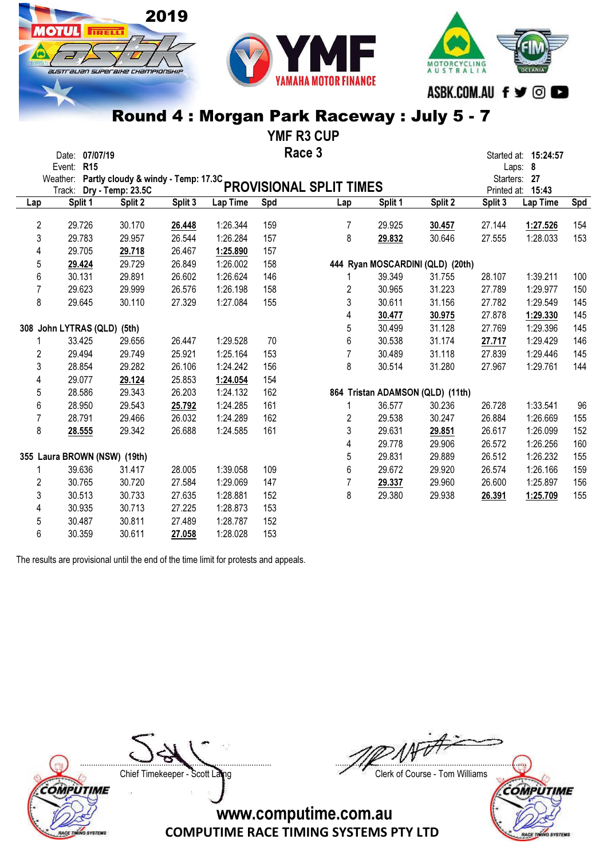YMF R3 CUP

|                | Date: 07/07/19               |                                                          |         |          |     | Race 3                  |         |                                  |         | Started at: 15:24:57              |     |
|----------------|------------------------------|----------------------------------------------------------|---------|----------|-----|-------------------------|---------|----------------------------------|---------|-----------------------------------|-----|
|                | Event: R15                   |                                                          |         |          |     |                         |         |                                  |         | Laps: 8                           |     |
|                | Weather:<br>Track:           | Partly cloudy & windy - Temp: 17.3C<br>Dry - Temp: 23.5C |         |          |     | PROVISIONAL SPLIT TIMES |         |                                  |         | Starters: 27<br>Printed at: 15:43 |     |
| Lap            | Split 1                      | Split 2                                                  | Split 3 | Lap Time | Spd | Lap                     | Split 1 | Split 2                          | Split 3 | Lap Time                          | Spd |
| $\overline{2}$ | 29.726                       | 30.170                                                   | 26.448  | 1:26.344 | 159 | 7                       | 29.925  | 30.457                           | 27.144  | 1:27.526                          | 154 |
| 3              | 29.783                       | 29.957                                                   | 26.544  | 1:26.284 | 157 | 8                       | 29.832  | 30.646                           | 27.555  | 1:28.033                          | 153 |
| 4              | 29.705                       | 29.718                                                   | 26.467  | 1:25.890 | 157 |                         |         |                                  |         |                                   |     |
| 5              | 29.424                       | 29.729                                                   | 26.849  | 1:26.002 | 158 |                         |         | 444 Ryan MOSCARDINI (QLD) (20th) |         |                                   |     |
| 6              | 30.131                       | 29.891                                                   | 26.602  | 1:26.624 | 146 |                         | 39.349  | 31.755                           | 28.107  | 1:39.211                          | 100 |
| $\overline{7}$ | 29.623                       | 29.999                                                   | 26.576  | 1:26.198 | 158 | 2                       | 30.965  | 31.223                           | 27.789  | 1:29.977                          | 150 |
| 8              | 29.645                       | 30.110                                                   | 27.329  | 1:27.084 | 155 | 3                       | 30.611  | 31.156                           | 27.782  | 1:29.549                          | 145 |
|                |                              |                                                          |         |          |     | 4                       | 30.477  | 30.975                           | 27.878  | 1:29.330                          | 145 |
|                | 308 John LYTRAS (QLD) (5th)  |                                                          |         |          |     | 5                       | 30.499  | 31.128                           | 27.769  | 1:29.396                          | 145 |
|                | 33.425                       | 29.656                                                   | 26.447  | 1:29.528 | 70  | 6                       | 30.538  | 31.174                           | 27.717  | 1:29.429                          | 146 |
| $\overline{2}$ | 29.494                       | 29.749                                                   | 25.921  | 1:25.164 | 153 | 7                       | 30.489  | 31.118                           | 27.839  | 1:29.446                          | 145 |
| 3              | 28.854                       | 29.282                                                   | 26.106  | 1:24.242 | 156 | 8                       | 30.514  | 31.280                           | 27.967  | 1:29.761                          | 144 |
|                | 29.077                       | 29.124                                                   | 25.853  | 1:24.054 | 154 |                         |         |                                  |         |                                   |     |
| 4              |                              |                                                          |         |          |     |                         |         |                                  |         |                                   |     |
| 5              | 28.586                       | 29.343                                                   | 26.203  | 1:24.132 | 162 |                         |         | 864 Tristan ADAMSON (QLD) (11th) |         |                                   |     |
| 6              | 28.950                       | 29.543                                                   | 25.792  | 1:24.285 | 161 | 1                       | 36.577  | 30.236                           | 26.728  | 1:33.541                          | 96  |
| 7              | 28.791                       | 29.466                                                   | 26.032  | 1:24.289 | 162 | $\overline{2}$          | 29.538  | 30.247                           | 26.884  | 1:26.669                          | 155 |
| 8              | 28.555                       | 29.342                                                   | 26.688  | 1:24.585 | 161 | 3                       | 29.631  | 29.851                           | 26.617  | 1:26.099                          | 152 |
|                |                              |                                                          |         |          |     | 4                       | 29.778  | 29.906                           | 26.572  | 1:26.256                          | 160 |
|                | 355 Laura BROWN (NSW) (19th) |                                                          |         |          |     | 5                       | 29.831  | 29.889                           | 26.512  | 1:26.232                          | 155 |
| 1              | 39.636                       | 31.417                                                   | 28.005  | 1:39.058 | 109 | 6                       | 29.672  | 29.920                           | 26.574  | 1:26.166                          | 159 |
| $\overline{2}$ | 30.765                       | 30.720                                                   | 27.584  | 1:29.069 | 147 | 7                       | 29.337  | 29.960                           | 26.600  | 1:25.897                          | 156 |
| 3              | 30.513                       | 30.733                                                   | 27.635  | 1:28.881 | 152 | 8                       | 29.380  | 29.938                           | 26.391  | 1:25.709                          | 155 |
| 4              | 30.935                       | 30.713                                                   | 27.225  | 1:28.873 | 153 |                         |         |                                  |         |                                   |     |
| 5              | 30.487                       | 30.811                                                   | 27.489  | 1:28.787 | 152 |                         |         |                                  |         |                                   |     |
| 6              | 30.359                       | 30.611                                                   | 27.058  | 1:28.028 | 153 |                         |         |                                  |         |                                   |     |

The results are provisional until the end of the time limit for protests and appeals.

2019

ЯШ

**TIRELLI** 

austrauan superaixe championskii



....................................................................................... ....................................................................................... Chief Timekeeper - Scott Laing Chief Timekeeper - Scott Laing

MOTORCYCLING<br>AUSTRALIA

ASBK.COM.AU f ♥ © ●

**COMPUTIME SYSTEMS** ACE TI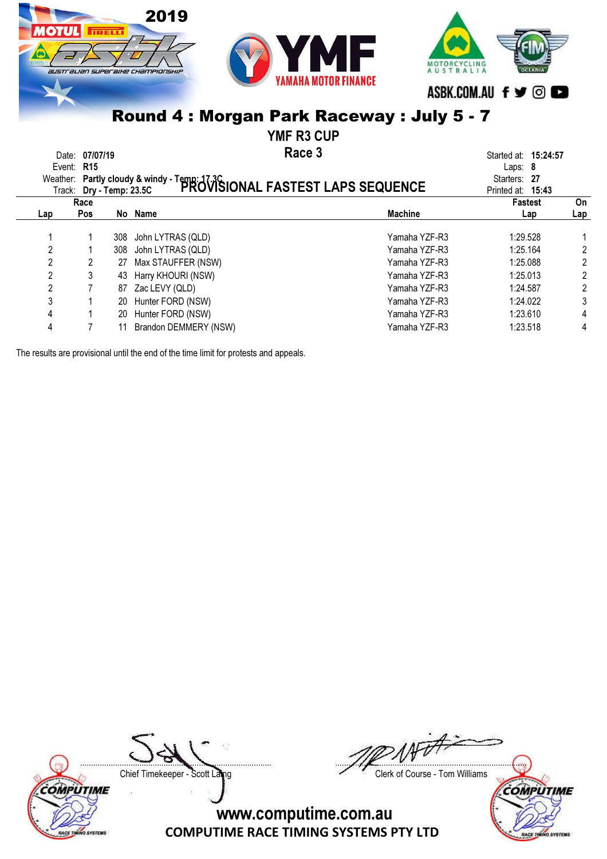### 2019 **IRELL N** MOTORCYCLING<br>AUSTRALIA IUSTralian superaixe championskii ASBK.COM.AU f y @

### Round 4 : Morgan Park Raceway : July 5 - 7

YMF R3 CUP

Race 3 Date: 07/07/19 **Started at: 15:24:57** Started at: 15:24:57

|                | Event: R15<br>Track: Dry - Temp: 23.5C |     | Weather: Partly cloudy & windy - Temp: 17.3C<br>Track: Dry - Temp: 23.5C PROVISIONAL FASTEST LAPS SEQUENCE |                | Laps: $8$<br>Starters: 27<br>Printed at: 15:43 |     |
|----------------|----------------------------------------|-----|------------------------------------------------------------------------------------------------------------|----------------|------------------------------------------------|-----|
|                | Race                                   |     |                                                                                                            |                | <b>Fastest</b>                                 | On  |
| Lap            | <b>Pos</b>                             |     | No Name                                                                                                    | <b>Machine</b> | Lap                                            | Lap |
|                |                                        | 308 | John LYTRAS (QLD)                                                                                          | Yamaha YZF-R3  | 1:29.528                                       |     |
| 2              |                                        | 308 | John LYTRAS (QLD)                                                                                          | Yamaha YZF-R3  | 1:25.164                                       | 2   |
| 2              |                                        | 27  | Max STAUFFER (NSW)                                                                                         | Yamaha YZF-R3  | 1:25.088                                       | 2   |
| 2              |                                        | 43  | Harry KHOURI (NSW)                                                                                         | Yamaha YZF-R3  | 1:25.013                                       | 2   |
| $\overline{2}$ |                                        | 87  | Zac LEVY (QLD)                                                                                             | Yamaha YZF-R3  | 1:24.587                                       | 2   |
| 3              |                                        | 20  | Hunter FORD (NSW)                                                                                          | Yamaha YZF-R3  | 1:24.022                                       | 3   |
| 4              |                                        | 20  | Hunter FORD (NSW)                                                                                          | Yamaha YZF-R3  | 1:23.610                                       | 4   |
| 4              |                                        |     | Brandon DEMMERY (NSW)                                                                                      | Yamaha YZF-R3  | 1:23.518                                       | 4   |

The results are provisional until the end of the time limit for protests and appeals.

*OMPUTIME* ACE TIN **VO SYSTEM** 

....................................................................................... ....................................................................................... Chief Timekeeper - Scott Laing Chief Timekeeper - Scott Laing

**COMPUTIME** 

ACE T

**SYSTEMS**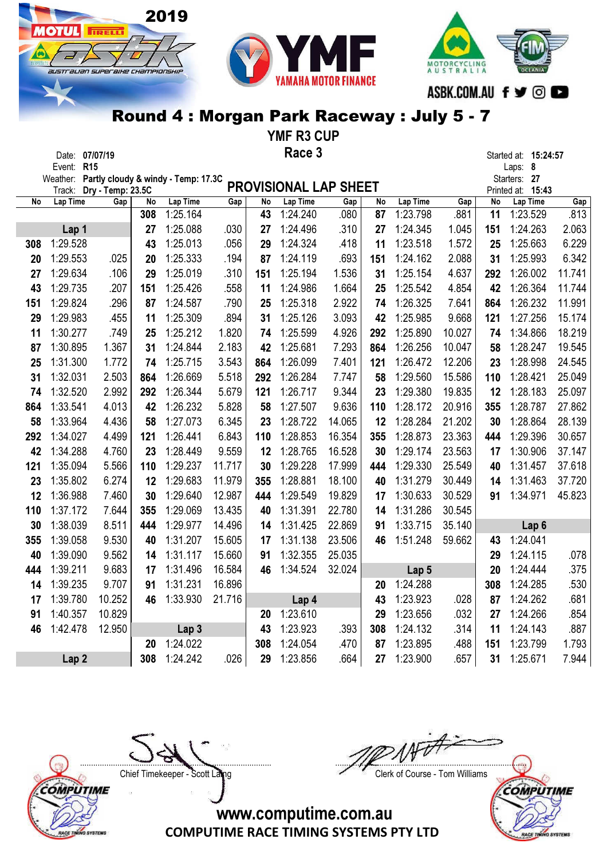# australian superaike championskir

**IOTUL** FIRELLY



### Round 4 : Morgan Park Raceway : July 5 - 7

YMF R3 CUP

|     | Date: 07/07/19   |                          |     |                                              |        |     | Race 3                       |        |     |                  |        |     | Started at: 15:24:57              |        |
|-----|------------------|--------------------------|-----|----------------------------------------------|--------|-----|------------------------------|--------|-----|------------------|--------|-----|-----------------------------------|--------|
|     | Event: R15       |                          |     |                                              |        |     |                              |        |     |                  |        |     | Laps: 8                           |        |
|     |                  | Track: Dry - Temp: 23.5C |     | Weather: Partly cloudy & windy - Temp: 17.3C |        |     | <b>PROVISIONAL LAP SHEET</b> |        |     |                  |        |     | Starters: 27<br>Printed at: 15:43 |        |
| No  | <b>Lap Time</b>  | Gap                      | No  | Lap Time                                     | Gap    | No  | <b>Lap Time</b>              | Gap    | No  | Lap Time         | Gap    | No  | Lap Time                          | Gap    |
|     |                  |                          | 308 | 1:25.164                                     |        | 43  | 1:24.240                     | .080   | 87  | 1:23.798         | .881   | 11  | 1:23.529                          | .813   |
|     | Lap 1            |                          | 27  | 1:25.088                                     | .030   | 27  | 1:24.496                     | .310   | 27  | 1:24.345         | 1.045  | 151 | 1:24.263                          | 2.063  |
| 308 | 1:29.528         |                          | 43  | 1:25.013                                     | .056   | 29  | 1:24.324                     | .418   | 11  | 1:23.518         | 1.572  | 25  | 1:25.663                          | 6.229  |
| 20  | 1:29.553         | .025                     | 20  | 1:25.333                                     | .194   | 87  | 1:24.119                     | .693   | 151 | 1:24.162         | 2.088  | 31  | 1:25.993                          | 6.342  |
| 27  | 1:29.634         | .106                     | 29  | 1:25.019                                     | .310   | 151 | 1:25.194                     | 1.536  | 31  | 1:25.154         | 4.637  | 292 | 1:26.002                          | 11.741 |
| 43  | 1:29.735         | .207                     | 151 | 1:25.426                                     | .558   | 11  | 1:24.986                     | 1.664  | 25  | 1:25.542         | 4.854  | 42  | 1:26.364                          | 11.744 |
| 151 | 1:29.824         | .296                     | 87  | 1:24.587                                     | .790   | 25  | 1:25.318                     | 2.922  | 74  | 1:26.325         | 7.641  | 864 | 1:26.232                          | 11.991 |
| 29  | 1:29.983         | .455                     | 11  | 1:25.309                                     | .894   | 31  | 1:25.126                     | 3.093  | 42  | 1:25.985         | 9.668  | 121 | 1:27.256                          | 15.174 |
| 11  | 1:30.277         | .749                     | 25  | 1:25.212                                     | 1.820  | 74  | 1:25.599                     | 4.926  | 292 | 1:25.890         | 10.027 | 74  | 1:34.866                          | 18.219 |
| 87  | 1:30.895         | 1.367                    | 31  | 1:24.844                                     | 2.183  | 42  | 1:25.681                     | 7.293  | 864 | 1:26.256         | 10.047 | 58  | 1:28.247                          | 19.545 |
| 25  | 1:31.300         | 1.772                    | 74  | 1:25.715                                     | 3.543  | 864 | 1:26.099                     | 7.401  | 121 | 1:26.472         | 12.206 | 23  | 1:28.998                          | 24.545 |
| 31  | 1:32.031         | 2.503                    | 864 | 1:26.669                                     | 5.518  | 292 | 1:26.284                     | 7.747  | 58  | 1:29.560         | 15.586 | 110 | 1:28.421                          | 25.049 |
| 74  | 1:32.520         | 2.992                    | 292 | 1:26.344                                     | 5.679  | 121 | 1:26.717                     | 9.344  | 23  | 1:29.380         | 19.835 | 12  | 1:28.183                          | 25.097 |
| 864 | 1:33.541         | 4.013                    | 42  | 1:26.232                                     | 5.828  | 58  | 1:27.507                     | 9.636  | 110 | 1:28.172         | 20.916 | 355 | 1:28.787                          | 27.862 |
| 58  | 1:33.964         | 4.436                    | 58  | 1:27.073                                     | 6.345  | 23  | 1:28.722                     | 14.065 | 12  | 1:28.284         | 21.202 | 30  | 1:28.864                          | 28.139 |
| 292 | 1:34.027         | 4.499                    | 121 | 1:26.441                                     | 6.843  | 110 | 1:28.853                     | 16.354 | 355 | 1:28.873         | 23.363 | 444 | 1:29.396                          | 30.657 |
| 42  | 1:34.288         | 4.760                    | 23  | 1:28.449                                     | 9.559  | 12  | 1:28.765                     | 16.528 | 30  | 1:29.174         | 23.563 | 17  | 1:30.906                          | 37.147 |
| 121 | 1:35.094         | 5.566                    | 110 | 1:29.237                                     | 11.717 | 30  | 1:29.228                     | 17.999 | 444 | 1:29.330         | 25.549 | 40  | 1:31.457                          | 37.618 |
| 23  | 1:35.802         | 6.274                    | 12  | 1:29.683                                     | 11.979 | 355 | 1:28.881                     | 18.100 | 40  | 1:31.279         | 30.449 | 14  | 1:31.463                          | 37.720 |
| 12  | 1:36.988         | 7.460                    | 30  | 1:29.640                                     | 12.987 | 444 | 1:29.549                     | 19.829 | 17  | 1:30.633         | 30.529 | 91  | 1:34.971                          | 45.823 |
| 110 | 1:37.172         | 7.644                    | 355 | 1:29.069                                     | 13.435 | 40  | 1:31.391                     | 22.780 | 14  | 1:31.286         | 30.545 |     |                                   |        |
| 30  | 1:38.039         | 8.511                    | 444 | 1:29.977                                     | 14.496 | 14  | 1:31.425                     | 22.869 | 91  | 1:33.715         | 35.140 |     | Lap <sub>6</sub>                  |        |
| 355 | 1:39.058         | 9.530                    | 40  | 1:31.207                                     | 15.605 | 17  | 1:31.138                     | 23.506 | 46  | 1:51.248         | 59.662 | 43  | 1:24.041                          |        |
| 40  | 1:39.090         | 9.562                    | 14  | 1:31.117                                     | 15.660 | 91  | 1:32.355                     | 25.035 |     |                  |        | 29  | 1:24.115                          | .078   |
| 444 | 1:39.211         | 9.683                    | 17  | 1:31.496                                     | 16.584 | 46  | 1:34.524                     | 32.024 |     | Lap <sub>5</sub> |        | 20  | 1:24.444                          | .375   |
| 14  | 1:39.235         | 9.707                    | 91  | 1:31.231                                     | 16.896 |     |                              |        | 20  | 1:24.288         |        | 308 | 1:24.285                          | .530   |
| 17  | 1:39.780         | 10.252                   | 46  | 1:33.930                                     | 21.716 |     | Lap 4                        |        | 43  | 1:23.923         | .028   | 87  | 1:24.262                          | .681   |
| 91  | 1:40.357         | 10.829                   |     |                                              |        | 20  | 1:23.610                     |        | 29  | 1:23.656         | .032   | 27  | 1:24.266                          | .854   |
| 46  | 1:42.478         | 12.950                   |     | Lap <sub>3</sub>                             |        | 43  | 1:23.923                     | .393   | 308 | 1:24.132         | .314   | 11  | 1:24.143                          | .887   |
|     |                  |                          | 20  | 1:24.022                                     |        | 308 | 1:24.054                     | .470   | 87  | 1:23.895         | .488   | 151 | 1:23.799                          | 1.793  |
|     | Lap <sub>2</sub> |                          | 308 | 1:24.242                                     | .026   | 29  | 1:23.856                     | .664   | 27  | 1:23.900         | .657   | 31  | 1:25.671                          | 7.944  |

COMPUTIME RACE TINING SYSTEMS

....................................................................................... ....................................................................................... Chief Timekeeper - Scott Laing Chief Timekeeper - Scott Laing

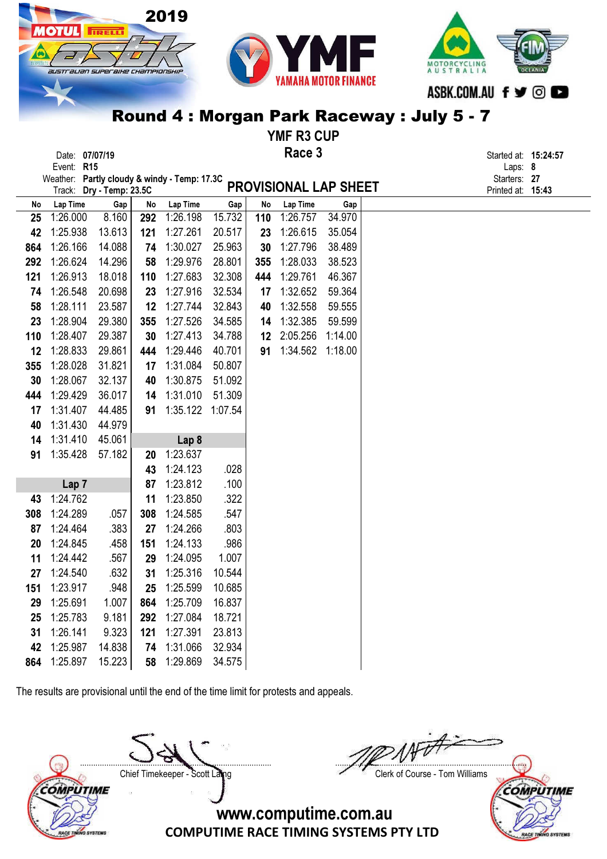

|     | <b>שונוטווט.</b> טווטוו                      |                          |     |                  |        |     |                       |         |  | וט. <b>ב+.</b> טום וסוט           |  |
|-----|----------------------------------------------|--------------------------|-----|------------------|--------|-----|-----------------------|---------|--|-----------------------------------|--|
|     | Event: R15                                   |                          |     |                  |        |     |                       |         |  | Laps: 8                           |  |
|     | Weather: Partly cloudy & windy - Temp: 17.3C | Track: Dry - Temp: 23.5C |     |                  |        |     | PROVISIONAL LAP SHEET |         |  | Starters: 27<br>Printed at: 15:43 |  |
| No  | Lap Time                                     | Gap                      | No  | Lap Time         | Gap    | No  | Lap Time              | Gap     |  |                                   |  |
| 25  | 1:26.000                                     | 8.160                    |     | 292 1:26.198     | 15.732 | 110 | 1:26.757              | 34.970  |  |                                   |  |
| 42  | 1:25.938                                     | 13.613                   | 121 | 1:27.261         | 20.517 | 23  | 1:26.615              | 35.054  |  |                                   |  |
| 864 | 1:26.166                                     | 14.088                   | 74  | 1:30.027         | 25.963 | 30  | 1:27.796              | 38.489  |  |                                   |  |
| 292 | 1:26.624                                     | 14.296                   | 58  | 1:29.976         | 28.801 | 355 | 1:28.033              | 38.523  |  |                                   |  |
| 121 | 1:26.913                                     | 18.018                   | 110 | 1:27.683         | 32.308 | 444 | 1:29.761              | 46.367  |  |                                   |  |
| 74  | 1:26.548                                     | 20.698                   | 23  | 1:27.916         | 32.534 | 17  | 1:32.652              | 59.364  |  |                                   |  |
| 58  | 1:28.111                                     | 23.587                   | 12  | 1:27.744         | 32.843 | 40  | 1:32.558              | 59.555  |  |                                   |  |
| 23  | 1:28.904                                     | 29.380                   | 355 | 1:27.526         | 34.585 | 14  | 1:32.385              | 59.599  |  |                                   |  |
| 110 | 1:28.407                                     | 29.387                   | 30  | 1:27.413         | 34.788 | 12  | 2:05.256              | 1:14.00 |  |                                   |  |
| 12  | 1:28.833                                     | 29.861                   | 444 | 1:29.446         | 40.701 | 91  | 1:34.562              | 1:18.00 |  |                                   |  |
| 355 | 1:28.028                                     | 31.821                   | 17  | 1:31.084         | 50.807 |     |                       |         |  |                                   |  |
| 30  | 1:28.067                                     | 32.137                   | 40  | 1:30.875         | 51.092 |     |                       |         |  |                                   |  |
| 444 | 1:29.429                                     | 36.017                   | 14  | 1:31.010         | 51.309 |     |                       |         |  |                                   |  |
| 17  | 1:31.407                                     | 44.485                   | 91  | 1:35.122 1:07.54 |        |     |                       |         |  |                                   |  |
| 40  | 1:31.430                                     | 44.979                   |     |                  |        |     |                       |         |  |                                   |  |
| 14  | 1:31.410                                     | 45.061                   |     | Lap 8            |        |     |                       |         |  |                                   |  |
| 91  | 1:35.428                                     | 57.182                   | 20  | 1:23.637         |        |     |                       |         |  |                                   |  |
|     |                                              |                          | 43  | 1:24.123         | .028   |     |                       |         |  |                                   |  |
|     | Lap <sub>7</sub>                             |                          | 87  | 1:23.812         | .100   |     |                       |         |  |                                   |  |
| 43  | 1:24.762                                     |                          | 11  | 1:23.850         | .322   |     |                       |         |  |                                   |  |
| 308 | 1:24.289                                     | .057                     | 308 | 1:24.585         | .547   |     |                       |         |  |                                   |  |
| 87  | 1:24.464                                     | .383                     | 27  | 1:24.266         | .803   |     |                       |         |  |                                   |  |
| 20  | 1:24.845                                     | .458                     | 151 | 1:24.133         | .986   |     |                       |         |  |                                   |  |
| 11  | 1:24.442                                     | .567                     | 29  | 1:24.095         | 1.007  |     |                       |         |  |                                   |  |
| 27  | 1:24.540                                     | .632                     | 31  | 1:25.316         | 10.544 |     |                       |         |  |                                   |  |
| 151 | 1:23.917                                     | .948                     | 25  | 1:25.599         | 10.685 |     |                       |         |  |                                   |  |
| 29  | 1:25.691                                     | 1.007                    | 864 | 1:25.709         | 16.837 |     |                       |         |  |                                   |  |
| 25  | 1:25.783                                     | 9.181                    | 292 | 1:27.084         | 18.721 |     |                       |         |  |                                   |  |
| 31  | 1:26.141                                     | 9.323                    | 121 | 1:27.391         | 23.813 |     |                       |         |  |                                   |  |
| 42  | 1:25.987                                     | 14.838                   | 74  | 1:31.066         | 32.934 |     |                       |         |  |                                   |  |
| 864 | 1:25.897                                     | 15.223                   | 58  | 1:29.869         | 34.575 |     |                       |         |  |                                   |  |

The results are provisional until the end of the time limit for protests and appeals.

COMPUTIME

**LACE TINING SYSTEMS** 

....................................................................................... ....................................................................................... Chief Timekeeper - Scott Laing Chief Timekeeper - Scott Laing

COMPUTIME

ACE TI

**SYSTEMS**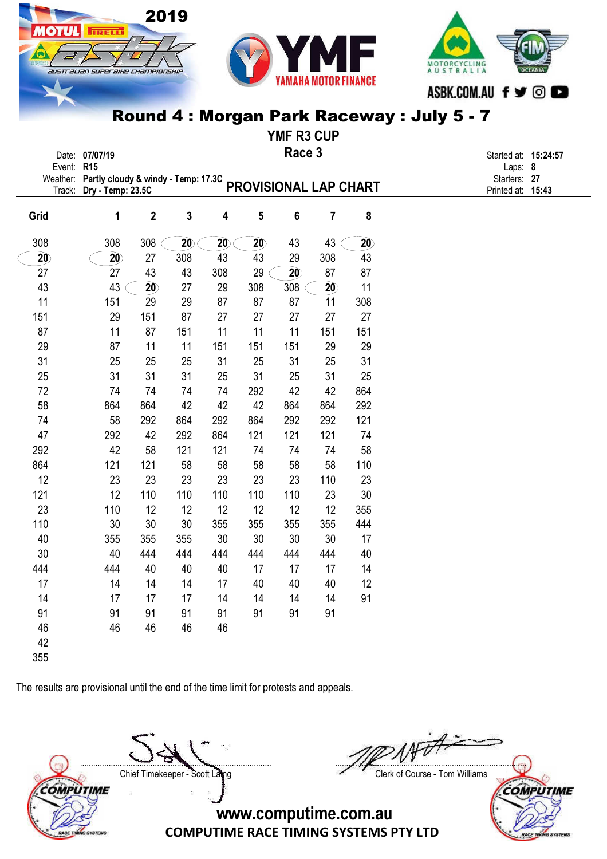#### 2019 777 **TRELL** Y1 M MOTORCYCLING<br>A U S T R A L I A austrauan superaixe championskir ASBK.COM.AU f y @

### Round 4 : Morgan Park Raceway : July 5 - 7

|                 |                                                                |                 |     |                 |     | <b>YMF R3 CUP</b>     |                 |     |                         |                      |
|-----------------|----------------------------------------------------------------|-----------------|-----|-----------------|-----|-----------------------|-----------------|-----|-------------------------|----------------------|
| Event: R15      | Date: 07/07/19<br>Weather: Partly cloudy & windy - Temp: 17.3C |                 |     |                 |     | Race 3                |                 |     | Laps: 8<br>Starters: 27 | Started at: 15:24:57 |
| Track:          | Dry - Temp: 23.5C                                              |                 |     |                 |     | PROVISIONAL LAP CHART |                 |     | Printed at: 15:43       |                      |
| Grid            | 1                                                              | $\mathbf 2$     | 3   | 4               | 5   | 6                     | 7               | 8   |                         |                      |
| 308             | 308                                                            | 308             | 20  | $\overline{20}$ | 20  | 43                    | 43              | 20  |                         |                      |
| $\overline{20}$ | $\overline{20}$                                                | 27              | 308 | 43              | 43  | 29                    | 308             | 43  |                         |                      |
| 27              | 27                                                             | 43              | 43  | 308             | 29  | $\overline{20}$       | 87              | 87  |                         |                      |
| 43              | 43                                                             | $\overline{20}$ | 27  | 29              | 308 | 308                   | $\overline{20}$ | 11  |                         |                      |
| 11              | 151                                                            | 29              | 29  | 87              | 87  | 87                    | 11              | 308 |                         |                      |
| 151             | 29                                                             | 151             | 87  | 27              | 27  | 27                    | 27              | 27  |                         |                      |
| 87              | 11                                                             | 87              | 151 | 11              | 11  | 11                    | 151             | 151 |                         |                      |
| 29              | 87                                                             | 11              | 11  | 151             | 151 | 151                   | 29              | 29  |                         |                      |
| 31              | 25                                                             | 25              | 25  | 31              | 25  | 31                    | 25              | 31  |                         |                      |
| 25              | 31                                                             | 31              | 31  | 25              | 31  | 25                    | 31              | 25  |                         |                      |
| 72              | 74                                                             | 74              | 74  | 74              | 292 | 42                    | 42              | 864 |                         |                      |
| 58              | 864                                                            | 864             | 42  | 42              | 42  | 864                   | 864             | 292 |                         |                      |
| 74              | 58                                                             | 292             | 864 | 292             | 864 | 292                   | 292             | 121 |                         |                      |
| 47              | 292                                                            | 42              | 292 | 864             | 121 | 121                   | 121             | 74  |                         |                      |
| 292             | 42                                                             | 58              | 121 | 121             | 74  | 74                    | 74              | 58  |                         |                      |
| 864             | 121                                                            | 121             | 58  | 58              | 58  | 58                    | 58              | 110 |                         |                      |
| 12              | 23                                                             | 23              | 23  | 23              | 23  | 23                    | 110             | 23  |                         |                      |
| 121             | 12                                                             | 110             | 110 | 110             | 110 | 110                   | 23              | 30  |                         |                      |
| 23              | 110                                                            | 12              | 12  | 12              | 12  | 12                    | 12              | 355 |                         |                      |
| 110             | 30                                                             | 30              | 30  | 355             | 355 | 355                   | 355             | 444 |                         |                      |
| 40              | 355                                                            | 355             | 355 | 30              | 30  | 30                    | 30              | 17  |                         |                      |
| 30              | 40                                                             | 444             | 444 | 444             | 444 | 444                   | 444             | 40  |                         |                      |
| 444             | 444                                                            | 40              | 40  | 40              | 17  | 17                    | 17              | 14  |                         |                      |
| 17              | 14                                                             | 14              | 14  | 17              | 40  | 40                    | 40              | 12  |                         |                      |
| 14              | 17                                                             | 17              | 17  | 14              | 14  | 14                    | 14              | 91  |                         |                      |
| 91              | 91                                                             | 91              | 91  | 91              | 91  | 91                    | 91              |     |                         |                      |
| 46              | 46                                                             | 46              | 46  | 46              |     |                       |                 |     |                         |                      |
| 42              |                                                                |                 |     |                 |     |                       |                 |     |                         |                      |
| 355             |                                                                |                 |     |                 |     |                       |                 |     |                         |                      |

The results are provisional until the end of the time limit for protests and appeals.

....................................................................................... ....................................................................................... Chief Timekeeper - Scott Laing Chief Timekeeper - Scott Laing

COMPUTIME

MCE TI

**SYSTEMS** 

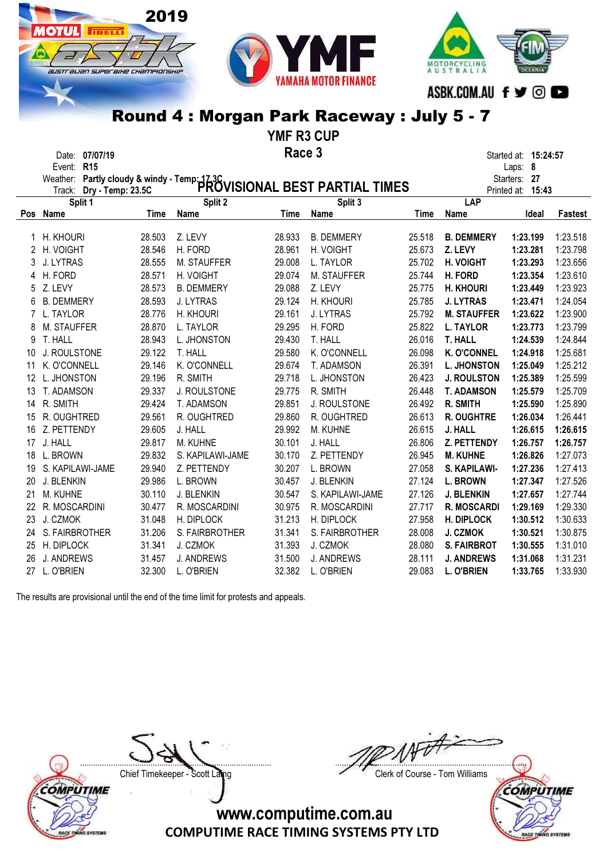



YMF R3 CUP

|                      | Date: 07/07/19           |        |                     | Race 3 |                                                                                         |        |                    | Started at: <b>15:24:57</b> |                |
|----------------------|--------------------------|--------|---------------------|--------|-----------------------------------------------------------------------------------------|--------|--------------------|-----------------------------|----------------|
|                      | Event: R15               |        |                     |        |                                                                                         |        |                    | Laps: 8                     |                |
|                      | Weather:                 |        |                     |        | Partly cloudy & windy - Temp: 17.3C<br>Drv - Temp: 23.5C PROVISIONAL BEST PARTIAL TIMES |        |                    | Starters: 27                |                |
|                      | Track: Dry - Temp: 23.5C |        |                     |        |                                                                                         |        |                    | Printed at: 15:43           |                |
|                      | Split 1                  |        | Split 2             |        | Split 3                                                                                 |        | <b>LAP</b>         |                             |                |
| Pos                  | Name                     | Time   | Name                | Time   | Name                                                                                    | Time   | Name               | Ideal                       | <b>Fastest</b> |
|                      | H. KHOURI                | 28.503 | Z. LEVY             | 28.933 | <b>B. DEMMERY</b>                                                                       | 25.518 | <b>B. DEMMERY</b>  | 1:23.199                    | 1:23.518       |
| $\mathbf{2}^{\circ}$ | H. VOIGHT                | 28.546 | H. FORD             | 28.961 | H. VOIGHT                                                                               | 25.673 | Z. LEVY            | 1:23.281                    | 1:23.798       |
| 3                    | J. LYTRAS                | 28.555 | M. STAUFFER         | 29.008 | L. TAYLOR                                                                               | 25.702 | H. VOIGHT          | 1:23.293                    | 1:23.656       |
| 4                    | H. FORD                  | 28.571 | H. VOIGHT           | 29.074 | M. STAUFFER                                                                             | 25.744 | H. FORD            | 1:23.354                    | 1:23.610       |
| 5                    | Z. LEVY                  | 28.573 | <b>B. DEMMERY</b>   | 29.088 | Z. LEVY                                                                                 | 25.775 | <b>H. KHOURI</b>   | 1:23.449                    | 1:23.923       |
| 6                    | <b>B. DEMMERY</b>        | 28.593 | J. LYTRAS           | 29.124 | H. KHOURI                                                                               | 25.785 | <b>J. LYTRAS</b>   | 1:23.471                    | 1:24.054       |
| $\overline{7}$       | L. TAYLOR                | 28.776 | H. KHOURI           | 29.161 | J. LYTRAS                                                                               | 25.792 | <b>M. STAUFFER</b> | 1:23.622                    | 1:23.900       |
| 8                    | M. STAUFFER              | 28.870 | L. TAYLOR           | 29.295 | H. FORD                                                                                 | 25.822 | <b>L. TAYLOR</b>   | 1:23.773                    | 1:23.799       |
| 9                    | T. HALL                  | 28.943 | L. JHONSTON         | 29.430 | T. HALL                                                                                 | 26.016 | <b>T. HALL</b>     | 1:24.539                    | 1:24.844       |
| 10                   | J. ROULSTONE             | 29.122 | T. HALL             | 29.580 | K. O'CONNELL                                                                            | 26.098 | <b>K. O'CONNEL</b> | 1:24.918                    | 1:25.681       |
| 11                   | K. O'CONNELL             | 29.146 | K. O'CONNELL        | 29.674 | T. ADAMSON                                                                              | 26.391 | <b>L. JHONSTON</b> | 1:25.049                    | 1:25.212       |
| 12 <sup>°</sup>      | L. JHONSTON              | 29.196 | R. SMITH            | 29.718 | L. JHONSTON                                                                             | 26.423 | <b>J. ROULSTON</b> | 1:25.389                    | 1:25.599       |
| 13                   | T. ADAMSON               | 29.337 | <b>J. ROULSTONE</b> | 29.775 | R. SMITH                                                                                | 26.448 | <b>T. ADAMSON</b>  | 1:25.579                    | 1:25.709       |
| 14                   | R. SMITH                 | 29.424 | T. ADAMSON          | 29.851 | J. ROULSTONE                                                                            | 26.492 | R. SMITH           | 1:25.590                    | 1:25.890       |
| 15                   | R. OUGHTRED              | 29.561 | R. OUGHTRED         | 29.860 | R. OUGHTRED                                                                             | 26.613 | <b>R. OUGHTRE</b>  | 1:26.034                    | 1:26.441       |
| 16                   | Z. PETTENDY              | 29.605 | J. HALL             | 29.992 | M. KUHNE                                                                                | 26.615 | J. HALL            | 1:26.615                    | 1:26.615       |
| 17                   | J. HALL                  | 29.817 | M. KUHNE            | 30.101 | J. HALL                                                                                 | 26.806 | Z. PETTENDY        | 1:26.757                    | 1:26.757       |
| 18                   | L. BROWN                 | 29.832 | S. KAPILAWI-JAME    | 30.170 | Z. PETTENDY                                                                             | 26.945 | <b>M. KUHNE</b>    | 1:26.826                    | 1:27.073       |
| 19                   | S. KAPILAWI-JAME         | 29.940 | Z. PETTENDY         | 30.207 | L. BROWN                                                                                | 27.058 | S. KAPILAWI-       | 1:27.236                    | 1:27.413       |
| 20                   | J. BLENKIN               | 29.986 | L. BROWN            | 30.457 | J. BLENKIN                                                                              | 27.124 | <b>L. BROWN</b>    | 1:27.347                    | 1:27.526       |
| 21                   | M. KUHNE                 | 30.110 | J. BLENKIN          | 30.547 | S. KAPILAWI-JAME                                                                        | 27.126 | <b>J. BLENKIN</b>  | 1:27.657                    | 1:27.744       |
| 22                   | R. MOSCARDINI            | 30.477 | R. MOSCARDINI       | 30.975 | R. MOSCARDINI                                                                           | 27.717 | <b>R. MOSCARDI</b> | 1:29.169                    | 1:29.330       |
| 23                   | J. CZMOK                 | 31.048 | H. DIPLOCK          | 31.213 | H. DIPLOCK                                                                              | 27.958 | H. DIPLOCK         | 1:30.512                    | 1:30.633       |
| 24                   | S. FAIRBROTHER           | 31.206 | S. FAIRBROTHER      | 31.341 | S. FAIRBROTHER                                                                          | 28.008 | J. CZMOK           | 1:30.521                    | 1:30.875       |
| 25                   | H. DIPLOCK               | 31.341 | J. CZMOK            | 31.393 | J. CZMOK                                                                                | 28.080 | <b>S. FAIRBROT</b> | 1:30.555                    | 1:31.010       |
| 26                   | J. ANDREWS               | 31.457 | <b>J. ANDREWS</b>   | 31.500 | <b>J. ANDREWS</b>                                                                       | 28.111 | <b>J. ANDREWS</b>  | 1:31.068                    | 1:31.231       |

27 L. O'BRIEN 32.300 L. O'BRIEN 32.382 L. O'BRIEN 29.083 L. O'BRIEN 1:33.765 1:33.930

The results are provisional until the end of the time limit for protests and appeals.

2019

Ш

**TRELL** 

austrauan superaixe championskii

COMPUTIME CACE TINING SYSTEMS

....................................................................................... ....................................................................................... Chief Timekeeper - Scott Laing Chief Timekeeper - Scott Laing

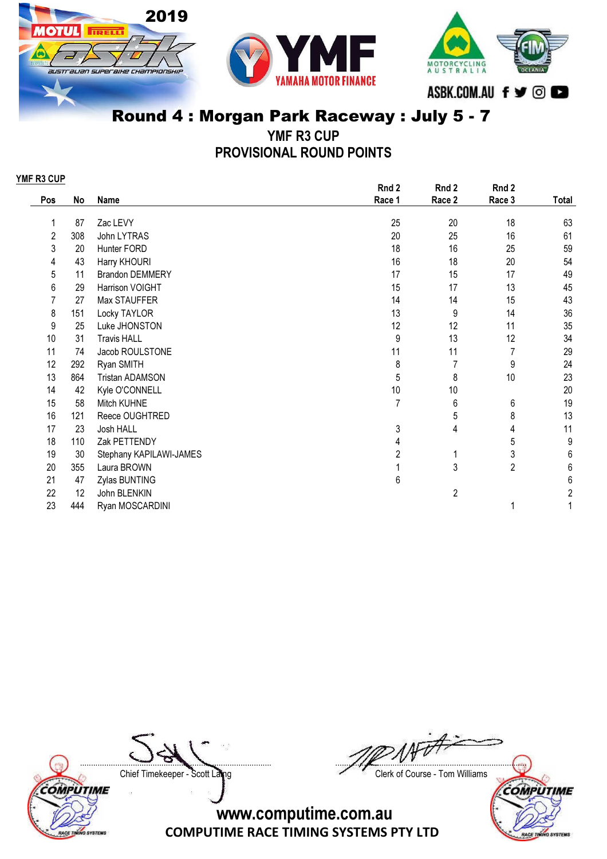





YMF R3 CUP PROVISIONAL ROUND POINTS

| YMF R3 CUP |     |                         |                |                |                |                         |
|------------|-----|-------------------------|----------------|----------------|----------------|-------------------------|
|            |     |                         | Rnd 2          | Rnd 2          | Rnd 2          |                         |
| Pos        | No  | Name                    | Race 1         | Race 2         | Race 3         | Total                   |
| 1          | 87  | Zac LEVY                | 25             | 20             | 18             | 63                      |
| 2          | 308 | John LYTRAS             | 20             | 25             | 16             | 61                      |
| 3          | 20  | Hunter FORD             | 18             | 16             | 25             | 59                      |
| 4          | 43  | Harry KHOURI            | 16             | 18             | 20             | 54                      |
| 5          | 11  | <b>Brandon DEMMERY</b>  | 17             | 15             | 17             | 49                      |
| 6          | 29  | Harrison VOIGHT         | 15             | 17             | 13             | 45                      |
| 7          | 27  | Max STAUFFER            | 14             | 14             | 15             | 43                      |
| 8          | 151 | Locky TAYLOR            | 13             | 9              | 14             | 36                      |
| 9          | 25  | Luke JHONSTON           | 12             | 12             | 11             | 35                      |
| 10         | 31  | <b>Travis HALL</b>      | 9              | 13             | 12             | 34                      |
| 11         | 74  | Jacob ROULSTONE         | 11             | 11             | $\overline{7}$ | 29                      |
| 12         | 292 | Ryan SMITH              | 8              | 7              | 9              | 24                      |
| 13         | 864 | <b>Tristan ADAMSON</b>  | 5              | 8              | 10             | 23                      |
| 14         | 42  | Kyle O'CONNELL          | 10             | 10             |                | 20                      |
| 15         | 58  | Mitch KUHNE             | $\overline{7}$ | 6              | 6              | 19                      |
| 16         | 121 | Reece OUGHTRED          |                | 5              | 8              | 13                      |
| 17         | 23  | Josh HALL               | 3              | 4              | 4              | 11                      |
| 18         | 110 | Zak PETTENDY            | 4              |                | 5              | 9                       |
| 19         | 30  | Stephany KAPILAWI-JAMES | 2              | 1              | 3              | $\,6$                   |
| 20         | 355 | Laura BROWN             |                | 3              | $\overline{2}$ | $\,6\,$                 |
| 21         | 47  | Zylas BUNTING           | 6              |                |                | 6                       |
| 22         | 12  | John BLENKIN            |                | $\overline{2}$ |                | $\overline{\mathbf{c}}$ |
| 23         | 444 | Ryan MOSCARDINI         |                |                | 1              |                         |

COMPUTIME RACE TINING SYSTEMS

....................................................................................... ....................................................................................... Chief Timekeeper - Scott Laing Chief Timekeeper - Scott Laing

**SYSTEMS** 

**RACE TE** 

#### COMPUTIME www.computime.com.au COMPUTIME RACE TIMING SYSTEMS PTY LTD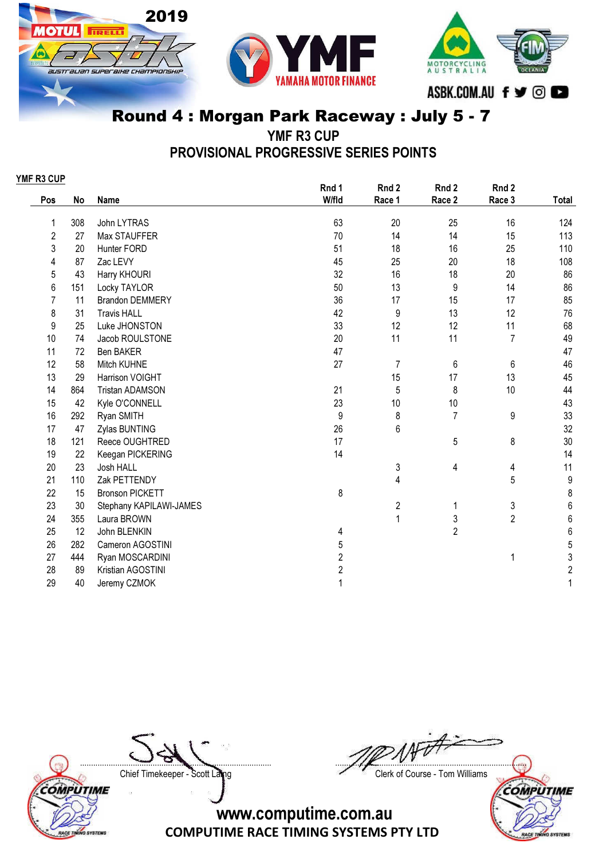





YMF R3 CUP

PROVISIONAL PROGRESSIVE SERIES POINTS

| YMF R3 CUP     |     |                         |                |                         |                |                |                  |
|----------------|-----|-------------------------|----------------|-------------------------|----------------|----------------|------------------|
|                |     |                         | Rnd 1          | Rnd 2                   | Rnd 2          | Rnd 2          |                  |
| Pos            | No  | <b>Name</b>             | W/fld          | Race 1                  | Race 2         | Race 3         | Total            |
| 1              | 308 | John LYTRAS             | 63             | 20                      | 25             | 16             | 124              |
| 2              | 27  | Max STAUFFER            | 70             | 14                      | 14             | 15             | 113              |
| 3              | 20  | Hunter FORD             | 51             | 18                      | 16             | 25             | 110              |
| 4              | 87  | Zac LEVY                | 45             | 25                      | 20             | 18             | 108              |
| 5              | 43  | Harry KHOURI            | 32             | 16                      | 18             | 20             | 86               |
| 6              | 151 | Locky TAYLOR            | 50             | 13                      | 9              | 14             | 86               |
| $\overline{7}$ | 11  | <b>Brandon DEMMERY</b>  | 36             | 17                      | 15             | 17             | 85               |
| 8              | 31  | <b>Travis HALL</b>      | 42             | 9                       | 13             | 12             | 76               |
| 9              | 25  | Luke JHONSTON           | 33             | 12                      | 12             | 11             | 68               |
| 10             | 74  | Jacob ROULSTONE         | 20             | 11                      | 11             | $\overline{7}$ | 49               |
| 11             | 72  | Ben BAKER               | 47             |                         |                |                | 47               |
| 12             | 58  | Mitch KUHNE             | 27             | $\overline{7}$          | 6              | 6              | 46               |
| 13             | 29  | Harrison VOIGHT         |                | 15                      | 17             | 13             | 45               |
| 14             | 864 | <b>Tristan ADAMSON</b>  | 21             | 5                       | 8              | 10             | 44               |
| 15             | 42  | Kyle O'CONNELL          | 23             | 10                      | 10             |                | 43               |
| 16             | 292 | Ryan SMITH              | 9              | 8                       | $\overline{7}$ | 9              | 33               |
| 17             | 47  | Zylas BUNTING           | 26             | 6                       |                |                | 32               |
| 18             | 121 | Reece OUGHTRED          | 17             |                         | 5              | 8              | 30               |
| 19             | 22  | Keegan PICKERING        | 14             |                         |                |                | 14               |
| 20             | 23  | Josh HALL               |                | 3                       | 4              | 4              | 11               |
| 21             | 110 | Zak PETTENDY            |                | 4                       |                | 5              | $\boldsymbol{9}$ |
| 22             | 15  | <b>Bronson PICKETT</b>  | 8              |                         |                |                | 8                |
| 23             | 30  | Stephany KAPILAWI-JAMES |                | $\overline{\mathbf{c}}$ | 1              | $\sqrt{3}$     | $\boldsymbol{6}$ |
| 24             | 355 | Laura BROWN             |                | 1                       | 3              | $\overline{2}$ | $\boldsymbol{6}$ |
| 25             | 12  | John BLENKIN            | 4              |                         | $\overline{2}$ |                | 6                |
| 26             | 282 | Cameron AGOSTINI        | 5              |                         |                |                | 5                |
| 27             | 444 | Ryan MOSCARDINI         | 2              |                         |                | 1              | 3                |
| 28             | 89  | Kristian AGOSTINI       | $\overline{2}$ |                         |                |                | $\overline{c}$   |
| 29             | 40  | Jeremy CZMOK            |                |                         |                |                | 1                |

COMPUTIME RACE TINING SYSTEMS

....................................................................................... ....................................................................................... Chief Timekeeper - Scott Laing Chief Timekeeper - Scott Laing COMPUTIME

**SYSTEMS** 

**RACE TE**